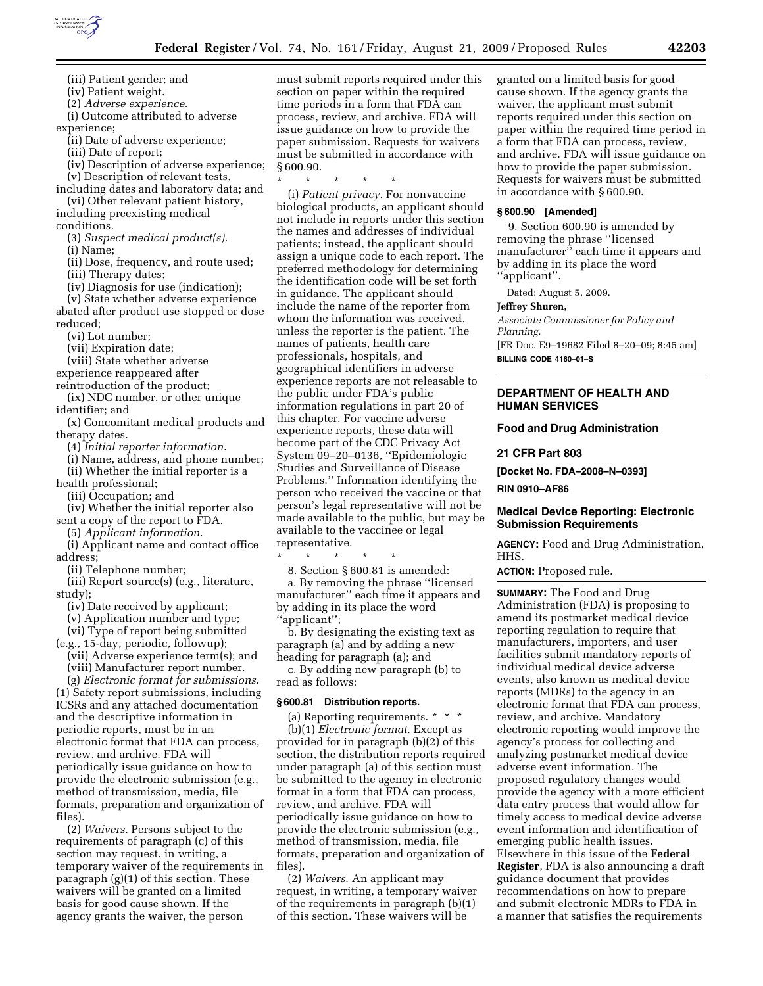

(iii) Patient gender; and (iv) Patient weight.

(2) *Adverse experience*.

(i) Outcome attributed to adverse experience;

(ii) Date of adverse experience;

(iii) Date of report;

- (iv) Description of adverse experience;
- (v) Description of relevant tests,

including dates and laboratory data; and (vi) Other relevant patient history,

including preexisting medical conditions.

(3) *Suspect medical product(s)*.

(i) Name;

(ii) Dose, frequency, and route used;

(iii) Therapy dates; (iv) Diagnosis for use (indication);

(v) State whether adverse experience

abated after product use stopped or dose reduced;

(vi) Lot number;

(vii) Expiration date;

(viii) State whether adverse

experience reappeared after

reintroduction of the product;

(ix) NDC number, or other unique identifier; and

(x) Concomitant medical products and therapy dates.

(4) *Initial reporter information*.

(i) Name, address, and phone number; (ii) Whether the initial reporter is a

health professional;

(iii) Occupation; and

(iv) Whether the initial reporter also sent a copy of the report to FDA.

(5) *Applicant information*.

(i) Applicant name and contact office address;

(ii) Telephone number;

(iii) Report source(s) (e.g., literature, study);

(iv) Date received by applicant;

(v) Application number and type;

(vi) Type of report being submitted

(e.g., 15-day, periodic, followup); (vii) Adverse experience term(s); and (viii) Manufacturer report number.

(g) *Electronic format for submissions*. (1) Safety report submissions, including ICSRs and any attached documentation and the descriptive information in periodic reports, must be in an electronic format that FDA can process, review, and archive. FDA will periodically issue guidance on how to provide the electronic submission (e.g., method of transmission, media, file formats, preparation and organization of files).

(2) *Waivers*. Persons subject to the requirements of paragraph (c) of this section may request, in writing, a temporary waiver of the requirements in paragraph (g)(1) of this section. These waivers will be granted on a limited basis for good cause shown. If the agency grants the waiver, the person

must submit reports required under this section on paper within the required time periods in a form that FDA can process, review, and archive. FDA will issue guidance on how to provide the paper submission. Requests for waivers must be submitted in accordance with § 600.90.

\* \* \* \* \*

(i) *Patient privacy*. For nonvaccine biological products, an applicant should not include in reports under this section the names and addresses of individual patients; instead, the applicant should assign a unique code to each report. The preferred methodology for determining the identification code will be set forth in guidance. The applicant should include the name of the reporter from whom the information was received, unless the reporter is the patient. The names of patients, health care professionals, hospitals, and geographical identifiers in adverse experience reports are not releasable to the public under FDA's public information regulations in part 20 of this chapter. For vaccine adverse experience reports, these data will become part of the CDC Privacy Act System 09–20–0136, ''Epidemiologic Studies and Surveillance of Disease Problems.'' Information identifying the person who received the vaccine or that person's legal representative will not be made available to the public, but may be available to the vaccinee or legal representative.

\* \* \* \* \*

8. Section § 600.81 is amended:

a. By removing the phrase ''licensed manufacturer'' each time it appears and by adding in its place the word ''applicant'';

b. By designating the existing text as paragraph (a) and by adding a new heading for paragraph (a); and

c. By adding new paragraph (b) to read as follows:

#### **§ 600.81 Distribution reports.**

(a) Reporting requirements. \* \* \* (b)(1) *Electronic format*. Except as provided for in paragraph (b)(2) of this section, the distribution reports required under paragraph (a) of this section must be submitted to the agency in electronic format in a form that FDA can process, review, and archive. FDA will periodically issue guidance on how to provide the electronic submission (e.g., method of transmission, media, file formats, preparation and organization of files).

(2) *Waivers*. An applicant may request, in writing, a temporary waiver of the requirements in paragraph (b)(1) of this section. These waivers will be

granted on a limited basis for good cause shown. If the agency grants the waiver, the applicant must submit reports required under this section on paper within the required time period in a form that FDA can process, review, and archive. FDA will issue guidance on how to provide the paper submission. Requests for waivers must be submitted in accordance with § 600.90.

#### **§ 600.90 [Amended]**

9. Section 600.90 is amended by removing the phrase ''licensed manufacturer'' each time it appears and by adding in its place the word ''applicant''.

Dated: August 5, 2009.

## **Jeffrey Shuren,**

*Associate Commissioner for Policy and Planning.*  [FR Doc. E9–19682 Filed 8–20–09; 8:45 am]

**BILLING CODE 4160–01–S** 

## **DEPARTMENT OF HEALTH AND HUMAN SERVICES**

#### **Food and Drug Administration**

#### **21 CFR Part 803**

**[Docket No. FDA–2008–N–0393]** 

**RIN 0910–AF86** 

## **Medical Device Reporting: Electronic Submission Requirements**

**AGENCY:** Food and Drug Administration, HHS.

**ACTION:** Proposed rule.

**SUMMARY:** The Food and Drug Administration (FDA) is proposing to amend its postmarket medical device reporting regulation to require that manufacturers, importers, and user facilities submit mandatory reports of individual medical device adverse events, also known as medical device reports (MDRs) to the agency in an electronic format that FDA can process, review, and archive. Mandatory electronic reporting would improve the agency's process for collecting and analyzing postmarket medical device adverse event information. The proposed regulatory changes would provide the agency with a more efficient data entry process that would allow for timely access to medical device adverse event information and identification of emerging public health issues. Elsewhere in this issue of the **Federal Register**, FDA is also announcing a draft guidance document that provides recommendations on how to prepare and submit electronic MDRs to FDA in a manner that satisfies the requirements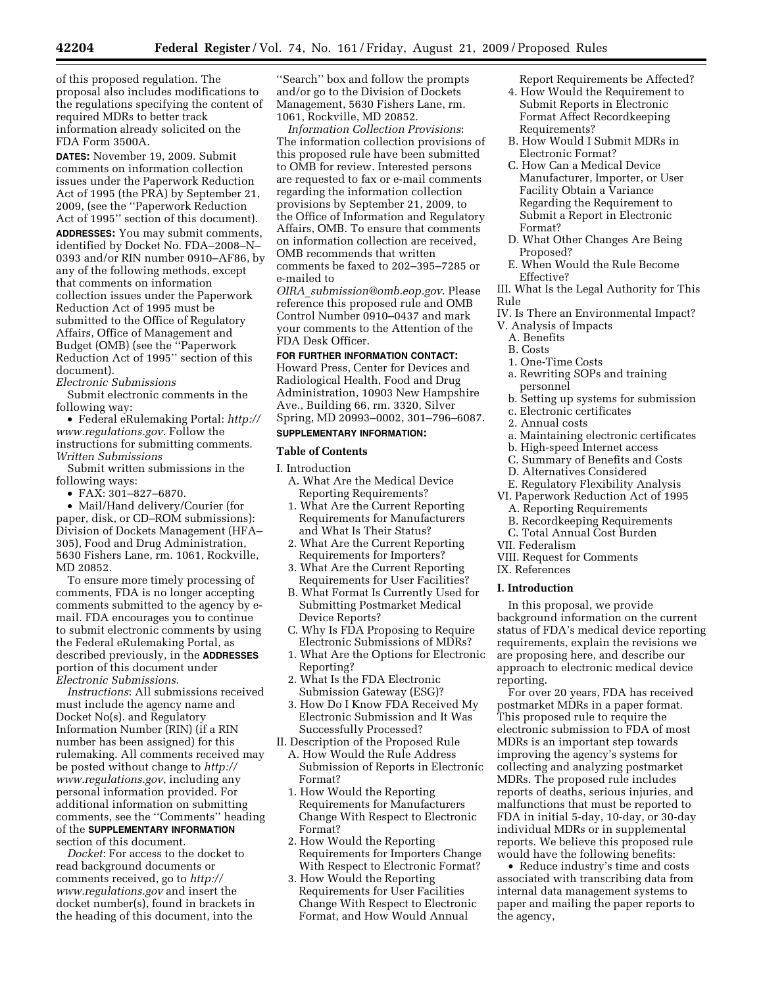of this proposed regulation. The proposal also includes modifications to the regulations specifying the content of required MDRs to better track information already solicited on the FDA Form 3500A.

**DATES:** November 19, 2009. Submit comments on information collection issues under the Paperwork Reduction Act of 1995 (the PRA) by September 21, 2009, (see the ''Paperwork Reduction Act of 1995'' section of this document).

**ADDRESSES:** You may submit comments, identified by Docket No. FDA–2008–N– 0393 and/or RIN number 0910–AF86, by any of the following methods, except that comments on information collection issues under the Paperwork Reduction Act of 1995 must be submitted to the Office of Regulatory Affairs, Office of Management and Budget (OMB) (see the ''Paperwork Reduction Act of 1995'' section of this document).

# *Electronic Submissions*

Submit electronic comments in the following way:

• Federal eRulemaking Portal: *http:// www.regulations.gov*. Follow the instructions for submitting comments. *Written Submissions* 

Submit written submissions in the following ways:

• FAX: 301–827–6870.

• Mail/Hand delivery/Courier (for paper, disk, or CD–ROM submissions): Division of Dockets Management (HFA– 305), Food and Drug Administration, 5630 Fishers Lane, rm. 1061, Rockville, MD 20852.

To ensure more timely processing of comments, FDA is no longer accepting comments submitted to the agency by email. FDA encourages you to continue to submit electronic comments by using the Federal eRulemaking Portal, as described previously, in the **ADDRESSES** portion of this document under *Electronic Submissions*.

*Instructions*: All submissions received must include the agency name and Docket No(s). and Regulatory Information Number (RIN) (if a RIN number has been assigned) for this rulemaking. All comments received may be posted without change to *http:// www.regulations.gov*, including any personal information provided. For additional information on submitting comments, see the ''Comments'' heading of the **SUPPLEMENTARY INFORMATION** section of this document.

*Docket*: For access to the docket to read background documents or comments received, go to *http:// www.regulations.gov* and insert the docket number(s), found in brackets in the heading of this document, into the

''Search'' box and follow the prompts and/or go to the Division of Dockets Management, 5630 Fishers Lane, rm. 1061, Rockville, MD 20852.

*Information Collection Provisions*: The information collection provisions of this proposed rule have been submitted to OMB for review. Interested persons are requested to fax or e-mail comments regarding the information collection provisions by September 21, 2009, to the Office of Information and Regulatory Affairs, OMB. To ensure that comments on information collection are received, OMB recommends that written comments be faxed to 202–395–7285 or e-mailed to

*OIRA*\_*submission@omb.eop.gov*. Please reference this proposed rule and OMB Control Number 0910–0437 and mark your comments to the Attention of the FDA Desk Officer.

# **FOR FURTHER INFORMATION CONTACT:**

Howard Press, Center for Devices and Radiological Health, Food and Drug Administration, 10903 New Hampshire Ave., Building 66, rm. 3320, Silver Spring, MD 20993–0002, 301–796–6087.

## **SUPPLEMENTARY INFORMATION:**

#### **Table of Contents**

I. Introduction

- A. What Are the Medical Device Reporting Requirements?
- 1. What Are the Current Reporting Requirements for Manufacturers and What Is Their Status?
- 2. What Are the Current Reporting Requirements for Importers?
- 3. What Are the Current Reporting Requirements for User Facilities?
- B. What Format Is Currently Used for Submitting Postmarket Medical Device Reports?
- C. Why Is FDA Proposing to Require Electronic Submissions of MDRs?
- 1. What Are the Options for Electronic Reporting?
- 2. What Is the FDA Electronic Submission Gateway (ESG)?
- 3. How Do I Know FDA Received My Electronic Submission and It Was Successfully Processed?
- II. Description of the Proposed Rule
	- A. How Would the Rule Address Submission of Reports in Electronic Format?
	- 1. How Would the Reporting Requirements for Manufacturers Change With Respect to Electronic Format?
	- 2. How Would the Reporting Requirements for Importers Change With Respect to Electronic Format?
	- 3. How Would the Reporting Requirements for User Facilities Change With Respect to Electronic Format, and How Would Annual

Report Requirements be Affected?

- 4. How Would the Requirement to Submit Reports in Electronic Format Affect Recordkeeping Requirements?
- B. How Would I Submit MDRs in Electronic Format?
- C. How Can a Medical Device Manufacturer, Importer, or User Facility Obtain a Variance Regarding the Requirement to Submit a Report in Electronic Format?
- D. What Other Changes Are Being Proposed?
- E. When Would the Rule Become Effective?
- III. What Is the Legal Authority for This Rule
- IV. Is There an Environmental Impact?
- V. Analysis of Impacts
	- A. Benefits
	- B. Costs
- 1. One-Time Costs
- a. Rewriting SOPs and training personnel
- b. Setting up systems for submission
- c. Electronic certificates
- 2. Annual costs
- a. Maintaining electronic certificates
- b. High-speed Internet access
- C. Summary of Benefits and Costs
- D. Alternatives Considered
- E. Regulatory Flexibility Analysis
- VI. Paperwork Reduction Act of 1995
	- A. Reporting Requirements
	- B. Recordkeeping Requirements
- C. Total Annual Cost Burden
- VII. Federalism
- VIII. Request for Comments IX. References

# **I. Introduction**

In this proposal, we provide background information on the current status of FDA's medical device reporting requirements, explain the revisions we are proposing here, and describe our approach to electronic medical device reporting.

For over 20 years, FDA has received postmarket MDRs in a paper format. This proposed rule to require the electronic submission to FDA of most MDRs is an important step towards improving the agency's systems for collecting and analyzing postmarket MDRs. The proposed rule includes reports of deaths, serious injuries, and malfunctions that must be reported to FDA in initial 5-day, 10-day, or 30-day individual MDRs or in supplemental reports. We believe this proposed rule would have the following benefits:

• Reduce industry's time and costs associated with transcribing data from internal data management systems to paper and mailing the paper reports to the agency,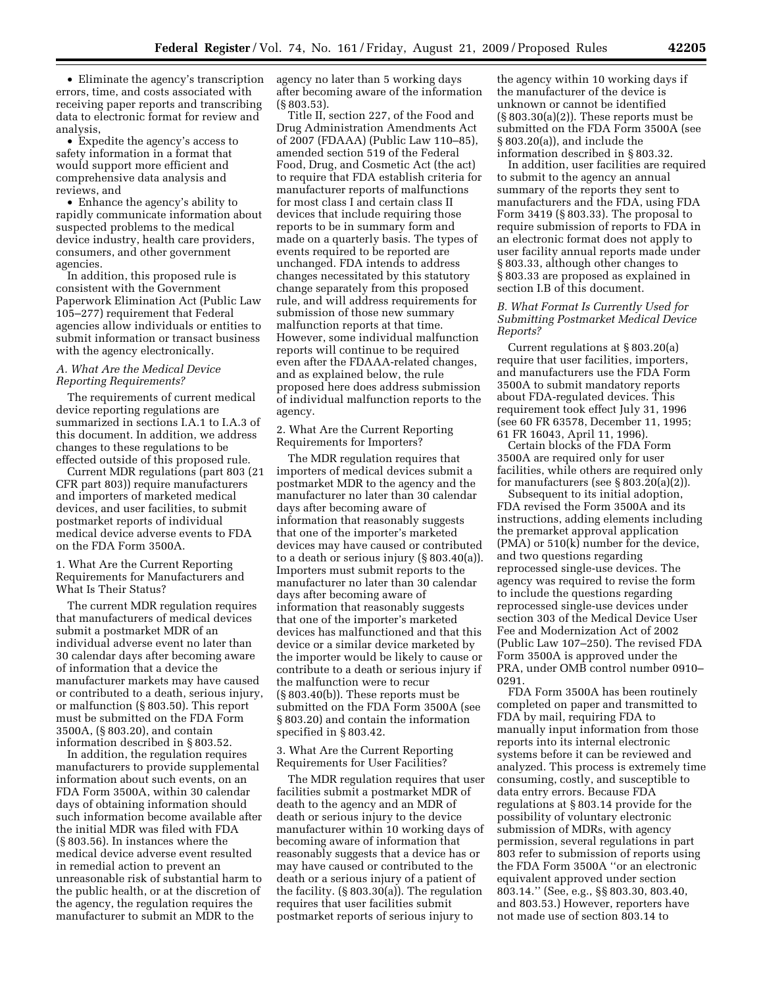• Eliminate the agency's transcription errors, time, and costs associated with receiving paper reports and transcribing data to electronic format for review and analysis,

• Expedite the agency's access to safety information in a format that would support more efficient and comprehensive data analysis and reviews, and

• Enhance the agency's ability to rapidly communicate information about suspected problems to the medical device industry, health care providers, consumers, and other government agencies.

In addition, this proposed rule is consistent with the Government Paperwork Elimination Act (Public Law 105–277) requirement that Federal agencies allow individuals or entities to submit information or transact business with the agency electronically.

## *A. What Are the Medical Device Reporting Requirements?*

The requirements of current medical device reporting regulations are summarized in sections I.A.1 to I.A.3 of this document. In addition, we address changes to these regulations to be effected outside of this proposed rule.

Current MDR regulations (part 803 (21 CFR part 803)) require manufacturers and importers of marketed medical devices, and user facilities, to submit postmarket reports of individual medical device adverse events to FDA on the FDA Form 3500A.

1. What Are the Current Reporting Requirements for Manufacturers and What Is Their Status?

The current MDR regulation requires that manufacturers of medical devices submit a postmarket MDR of an individual adverse event no later than 30 calendar days after becoming aware of information that a device the manufacturer markets may have caused or contributed to a death, serious injury, or malfunction (§ 803.50). This report must be submitted on the FDA Form 3500A, (§ 803.20), and contain information described in § 803.52.

In addition, the regulation requires manufacturers to provide supplemental information about such events, on an FDA Form 3500A, within 30 calendar days of obtaining information should such information become available after the initial MDR was filed with FDA (§ 803.56). In instances where the medical device adverse event resulted in remedial action to prevent an unreasonable risk of substantial harm to the public health, or at the discretion of the agency, the regulation requires the manufacturer to submit an MDR to the

agency no later than 5 working days after becoming aware of the information (§ 803.53).

Title II, section 227, of the Food and Drug Administration Amendments Act of 2007 (FDAAA) (Public Law 110–85), amended section 519 of the Federal Food, Drug, and Cosmetic Act (the act) to require that FDA establish criteria for manufacturer reports of malfunctions for most class I and certain class II devices that include requiring those reports to be in summary form and made on a quarterly basis. The types of events required to be reported are unchanged. FDA intends to address changes necessitated by this statutory change separately from this proposed rule, and will address requirements for submission of those new summary malfunction reports at that time. However, some individual malfunction reports will continue to be required even after the FDAAA-related changes, and as explained below, the rule proposed here does address submission of individual malfunction reports to the agency.

2. What Are the Current Reporting Requirements for Importers?

The MDR regulation requires that importers of medical devices submit a postmarket MDR to the agency and the manufacturer no later than 30 calendar days after becoming aware of information that reasonably suggests that one of the importer's marketed devices may have caused or contributed to a death or serious injury (§ 803.40(a)). Importers must submit reports to the manufacturer no later than 30 calendar days after becoming aware of information that reasonably suggests that one of the importer's marketed devices has malfunctioned and that this device or a similar device marketed by the importer would be likely to cause or contribute to a death or serious injury if the malfunction were to recur (§ 803.40(b)). These reports must be submitted on the FDA Form 3500A (see § 803.20) and contain the information specified in § 803.42.

3. What Are the Current Reporting Requirements for User Facilities?

The MDR regulation requires that user facilities submit a postmarket MDR of death to the agency and an MDR of death or serious injury to the device manufacturer within 10 working days of becoming aware of information that reasonably suggests that a device has or may have caused or contributed to the death or a serious injury of a patient of the facility. (§ 803.30(a)). The regulation requires that user facilities submit postmarket reports of serious injury to

the agency within 10 working days if the manufacturer of the device is unknown or cannot be identified (§ 803.30(a)(2)). These reports must be submitted on the FDA Form 3500A (see § 803.20(a)), and include the information described in § 803.32.

In addition, user facilities are required to submit to the agency an annual summary of the reports they sent to manufacturers and the FDA, using FDA Form 3419 (§ 803.33). The proposal to require submission of reports to FDA in an electronic format does not apply to user facility annual reports made under § 803.33, although other changes to § 803.33 are proposed as explained in section I.B of this document.

## *B. What Format Is Currently Used for Submitting Postmarket Medical Device Reports?*

Current regulations at § 803.20(a) require that user facilities, importers, and manufacturers use the FDA Form 3500A to submit mandatory reports about FDA-regulated devices. This requirement took effect July 31, 1996 (see 60 FR 63578, December 11, 1995; 61 FR 16043, April 11, 1996).

Certain blocks of the FDA Form 3500A are required only for user facilities, while others are required only for manufacturers (see § 803.20(a)(2)).

Subsequent to its initial adoption, FDA revised the Form 3500A and its instructions, adding elements including the premarket approval application (PMA) or 510(k) number for the device, and two questions regarding reprocessed single-use devices. The agency was required to revise the form to include the questions regarding reprocessed single-use devices under section 303 of the Medical Device User Fee and Modernization Act of 2002 (Public Law 107–250). The revised FDA Form 3500A is approved under the PRA, under OMB control number 0910– 0291.

FDA Form 3500A has been routinely completed on paper and transmitted to FDA by mail, requiring FDA to manually input information from those reports into its internal electronic systems before it can be reviewed and analyzed. This process is extremely time consuming, costly, and susceptible to data entry errors. Because FDA regulations at § 803.14 provide for the possibility of voluntary electronic submission of MDRs, with agency permission, several regulations in part 803 refer to submission of reports using the FDA Form 3500A ''or an electronic equivalent approved under section 803.14.'' (See, e.g., §§ 803.30, 803.40, and 803.53.) However, reporters have not made use of section 803.14 to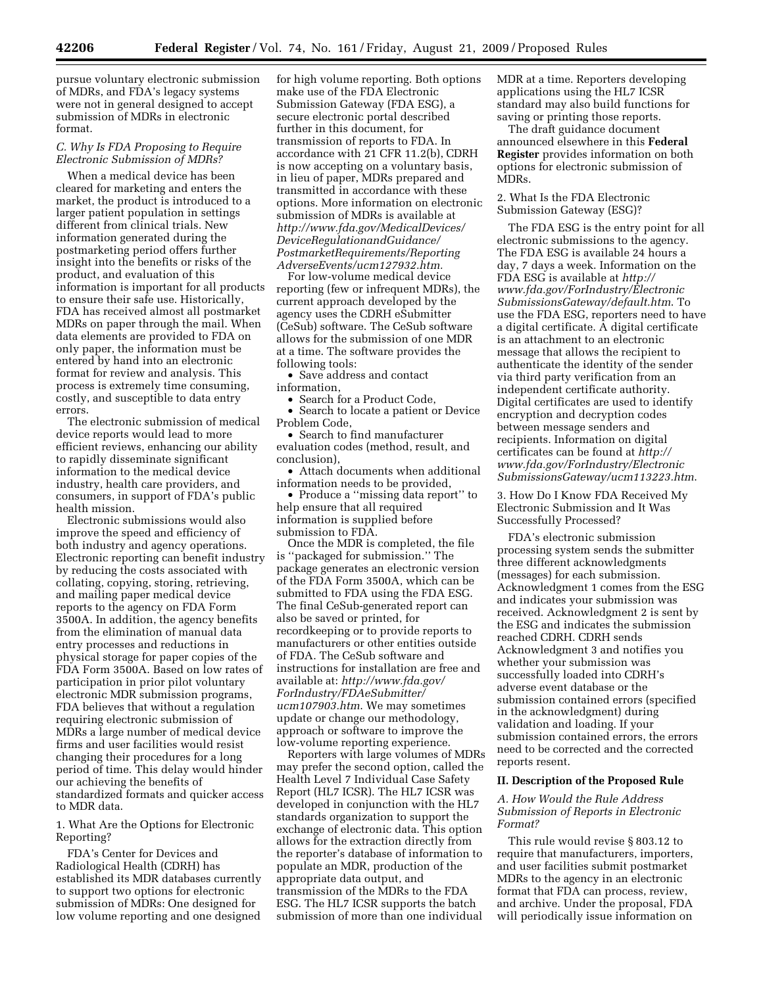pursue voluntary electronic submission of MDRs, and FDA's legacy systems were not in general designed to accept submission of MDRs in electronic format.

## *C. Why Is FDA Proposing to Require Electronic Submission of MDRs?*

When a medical device has been cleared for marketing and enters the market, the product is introduced to a larger patient population in settings different from clinical trials. New information generated during the postmarketing period offers further insight into the benefits or risks of the product, and evaluation of this information is important for all products to ensure their safe use. Historically, FDA has received almost all postmarket MDRs on paper through the mail. When data elements are provided to FDA on only paper, the information must be entered by hand into an electronic format for review and analysis. This process is extremely time consuming, costly, and susceptible to data entry errors.

The electronic submission of medical device reports would lead to more efficient reviews, enhancing our ability to rapidly disseminate significant information to the medical device industry, health care providers, and consumers, in support of FDA's public health mission.

Electronic submissions would also improve the speed and efficiency of both industry and agency operations. Electronic reporting can benefit industry by reducing the costs associated with collating, copying, storing, retrieving, and mailing paper medical device reports to the agency on FDA Form 3500A. In addition, the agency benefits from the elimination of manual data entry processes and reductions in physical storage for paper copies of the FDA Form 3500A. Based on low rates of participation in prior pilot voluntary electronic MDR submission programs, FDA believes that without a regulation requiring electronic submission of MDRs a large number of medical device firms and user facilities would resist changing their procedures for a long period of time. This delay would hinder our achieving the benefits of standardized formats and quicker access to MDR data.

1. What Are the Options for Electronic Reporting?

FDA's Center for Devices and Radiological Health (CDRH) has established its MDR databases currently to support two options for electronic submission of MDRs: One designed for low volume reporting and one designed for high volume reporting. Both options make use of the FDA Electronic Submission Gateway (FDA ESG), a secure electronic portal described further in this document, for transmission of reports to FDA. In accordance with 21 CFR 11.2(b), CDRH is now accepting on a voluntary basis, in lieu of paper, MDRs prepared and transmitted in accordance with these options. More information on electronic submission of MDRs is available at *http://www.fda.gov/MedicalDevices/ DeviceRegulationandGuidance/ PostmarketRequirements/Reporting AdverseEvents/ucm127932.htm.* 

For low-volume medical device reporting (few or infrequent MDRs), the current approach developed by the agency uses the CDRH eSubmitter (CeSub) software. The CeSub software allows for the submission of one MDR at a time. The software provides the following tools:

• Save address and contact information,

• Search for a Product Code, • Search to locate a patient or Device Problem Code,

• Search to find manufacturer evaluation codes (method, result, and conclusion),

• Attach documents when additional information needs to be provided,

• Produce a ''missing data report'' to help ensure that all required information is supplied before submission to FDA.

Once the MDR is completed, the file is ''packaged for submission.'' The package generates an electronic version of the FDA Form 3500A, which can be submitted to FDA using the FDA ESG. The final CeSub-generated report can also be saved or printed, for recordkeeping or to provide reports to manufacturers or other entities outside of FDA. The CeSub software and instructions for installation are free and available at: *http://www.fda.gov/ ForIndustry/FDAeSubmitter/ ucm107903.htm*. We may sometimes update or change our methodology, approach or software to improve the low-volume reporting experience.

Reporters with large volumes of MDRs may prefer the second option, called the Health Level 7 Individual Case Safety Report (HL7 ICSR). The HL7 ICSR was developed in conjunction with the HL7 standards organization to support the exchange of electronic data. This option allows for the extraction directly from the reporter's database of information to populate an MDR, production of the appropriate data output, and transmission of the MDRs to the FDA ESG. The HL7 ICSR supports the batch submission of more than one individual

MDR at a time. Reporters developing applications using the HL7 ICSR standard may also build functions for saving or printing those reports.

The draft guidance document announced elsewhere in this **Federal Register** provides information on both options for electronic submission of MDRs.

2. What Is the FDA Electronic Submission Gateway (ESG)?

The FDA ESG is the entry point for all electronic submissions to the agency. The FDA ESG is available 24 hours a day, 7 days a week. Information on the FDA ESG is available at *http:// www.fda.gov/ForIndustry/Electronic SubmissionsGateway/default.htm*. To use the FDA ESG, reporters need to have a digital certificate. A digital certificate is an attachment to an electronic message that allows the recipient to authenticate the identity of the sender via third party verification from an independent certificate authority. Digital certificates are used to identify encryption and decryption codes between message senders and recipients. Information on digital certificates can be found at *http:// www.fda.gov/ForIndustry/Electronic SubmissionsGateway/ucm113223.htm*.

3. How Do I Know FDA Received My Electronic Submission and It Was Successfully Processed?

FDA's electronic submission processing system sends the submitter three different acknowledgments (messages) for each submission. Acknowledgment 1 comes from the ESG and indicates your submission was received. Acknowledgment 2 is sent by the ESG and indicates the submission reached CDRH. CDRH sends Acknowledgment 3 and notifies you whether your submission was successfully loaded into CDRH's adverse event database or the submission contained errors (specified in the acknowledgment) during validation and loading. If your submission contained errors, the errors need to be corrected and the corrected reports resent.

## **II. Description of the Proposed Rule**

# *A. How Would the Rule Address Submission of Reports in Electronic Format?*

This rule would revise § 803.12 to require that manufacturers, importers, and user facilities submit postmarket MDRs to the agency in an electronic format that FDA can process, review, and archive. Under the proposal, FDA will periodically issue information on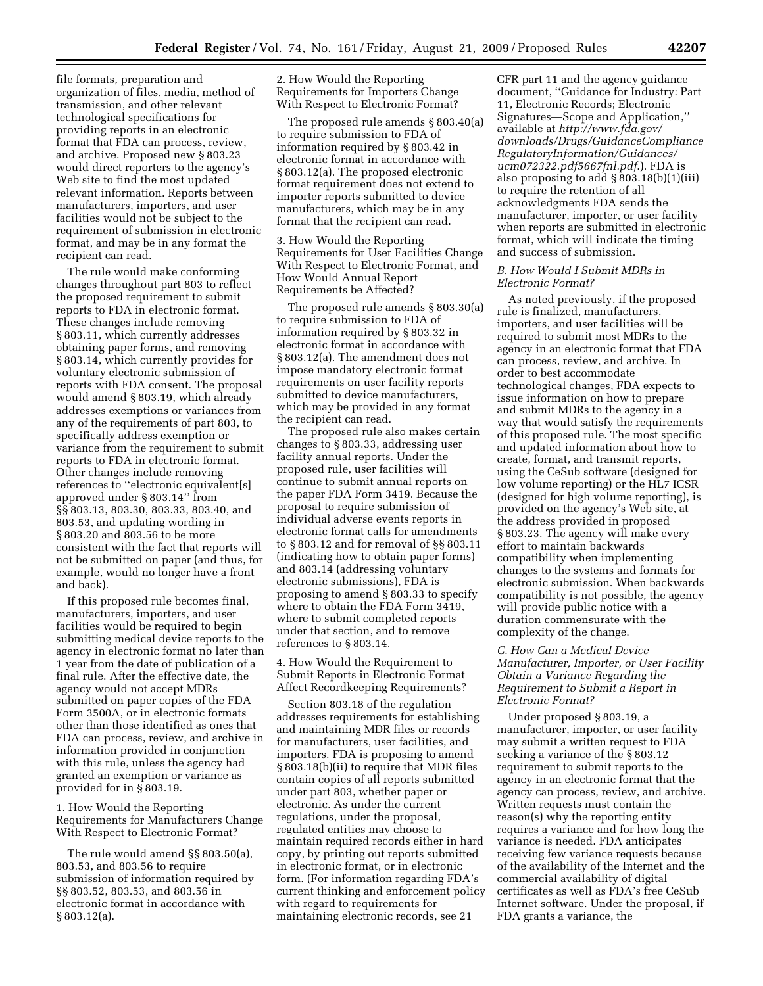file formats, preparation and organization of files, media, method of transmission, and other relevant technological specifications for providing reports in an electronic format that FDA can process, review, and archive. Proposed new § 803.23 would direct reporters to the agency's Web site to find the most updated relevant information. Reports between manufacturers, importers, and user facilities would not be subject to the requirement of submission in electronic format, and may be in any format the recipient can read.

The rule would make conforming changes throughout part 803 to reflect the proposed requirement to submit reports to FDA in electronic format. These changes include removing § 803.11, which currently addresses obtaining paper forms, and removing § 803.14, which currently provides for voluntary electronic submission of reports with FDA consent. The proposal would amend § 803.19, which already addresses exemptions or variances from any of the requirements of part 803, to specifically address exemption or variance from the requirement to submit reports to FDA in electronic format. Other changes include removing references to ''electronic equivalent[s] approved under § 803.14'' from §§ 803.13, 803.30, 803.33, 803.40, and 803.53, and updating wording in § 803.20 and 803.56 to be more consistent with the fact that reports will not be submitted on paper (and thus, for example, would no longer have a front and back).

If this proposed rule becomes final, manufacturers, importers, and user facilities would be required to begin submitting medical device reports to the agency in electronic format no later than 1 year from the date of publication of a final rule. After the effective date, the agency would not accept MDRs submitted on paper copies of the FDA Form 3500A, or in electronic formats other than those identified as ones that FDA can process, review, and archive in information provided in conjunction with this rule, unless the agency had granted an exemption or variance as provided for in § 803.19.

1. How Would the Reporting Requirements for Manufacturers Change With Respect to Electronic Format?

The rule would amend §§ 803.50(a), 803.53, and 803.56 to require submission of information required by §§ 803.52, 803.53, and 803.56 in electronic format in accordance with § 803.12(a).

2. How Would the Reporting Requirements for Importers Change With Respect to Electronic Format?

The proposed rule amends § 803.40(a) to require submission to FDA of information required by § 803.42 in electronic format in accordance with § 803.12(a). The proposed electronic format requirement does not extend to importer reports submitted to device manufacturers, which may be in any format that the recipient can read.

3. How Would the Reporting Requirements for User Facilities Change With Respect to Electronic Format, and How Would Annual Report Requirements be Affected?

The proposed rule amends § 803.30(a) to require submission to FDA of information required by § 803.32 in electronic format in accordance with § 803.12(a). The amendment does not impose mandatory electronic format requirements on user facility reports submitted to device manufacturers, which may be provided in any format the recipient can read.

The proposed rule also makes certain changes to § 803.33, addressing user facility annual reports. Under the proposed rule, user facilities will continue to submit annual reports on the paper FDA Form 3419. Because the proposal to require submission of individual adverse events reports in electronic format calls for amendments to § 803.12 and for removal of §§ 803.11 (indicating how to obtain paper forms) and 803.14 (addressing voluntary electronic submissions), FDA is proposing to amend § 803.33 to specify where to obtain the FDA Form 3419, where to submit completed reports under that section, and to remove references to § 803.14.

4. How Would the Requirement to Submit Reports in Electronic Format Affect Recordkeeping Requirements?

Section 803.18 of the regulation addresses requirements for establishing and maintaining MDR files or records for manufacturers, user facilities, and importers. FDA is proposing to amend § 803.18(b)(ii) to require that MDR files contain copies of all reports submitted under part 803, whether paper or electronic. As under the current regulations, under the proposal, regulated entities may choose to maintain required records either in hard copy, by printing out reports submitted in electronic format, or in electronic form. (For information regarding FDA's current thinking and enforcement policy with regard to requirements for maintaining electronic records, see 21

CFR part 11 and the agency guidance document, ''Guidance for Industry: Part 11, Electronic Records; Electronic Signatures—Scope and Application,'' available at *http://www.fda.gov/ downloads/Drugs/GuidanceCompliance RegulatoryInformation/Guidances/ ucm072322.pdf5667fnl.pdf*.). FDA is also proposing to add § 803.18(b)(1)(iii) to require the retention of all acknowledgments FDA sends the manufacturer, importer, or user facility when reports are submitted in electronic format, which will indicate the timing and success of submission.

#### *B. How Would I Submit MDRs in Electronic Format?*

As noted previously, if the proposed rule is finalized, manufacturers, importers, and user facilities will be required to submit most MDRs to the agency in an electronic format that FDA can process, review, and archive. In order to best accommodate technological changes, FDA expects to issue information on how to prepare and submit MDRs to the agency in a way that would satisfy the requirements of this proposed rule. The most specific and updated information about how to create, format, and transmit reports, using the CeSub software (designed for low volume reporting) or the HL7 ICSR (designed for high volume reporting), is provided on the agency's Web site, at the address provided in proposed § 803.23. The agency will make every effort to maintain backwards compatibility when implementing changes to the systems and formats for electronic submission. When backwards compatibility is not possible, the agency will provide public notice with a duration commensurate with the complexity of the change.

*C. How Can a Medical Device Manufacturer, Importer, or User Facility Obtain a Variance Regarding the Requirement to Submit a Report in Electronic Format?* 

Under proposed § 803.19, a manufacturer, importer, or user facility may submit a written request to FDA seeking a variance of the § 803.12 requirement to submit reports to the agency in an electronic format that the agency can process, review, and archive. Written requests must contain the reason(s) why the reporting entity requires a variance and for how long the variance is needed. FDA anticipates receiving few variance requests because of the availability of the Internet and the commercial availability of digital certificates as well as FDA's free CeSub Internet software. Under the proposal, if FDA grants a variance, the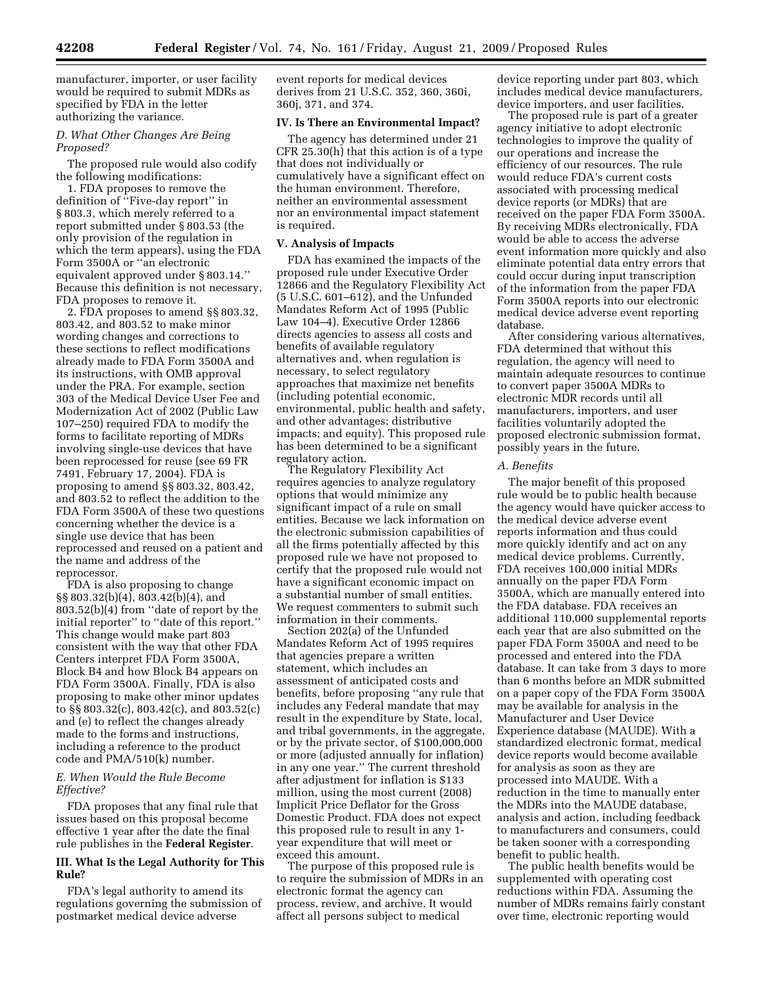manufacturer, importer, or user facility would be required to submit MDRs as specified by FDA in the letter authorizing the variance.

## *D. What Other Changes Are Being Proposed?*

The proposed rule would also codify the following modifications:

1. FDA proposes to remove the definition of ''Five-day report'' in § 803.3, which merely referred to a report submitted under § 803.53 (the only provision of the regulation in which the term appears), using the FDA Form 3500A or ''an electronic equivalent approved under § 803.14.'' Because this definition is not necessary, FDA proposes to remove it.

2. FDA proposes to amend §§ 803.32, 803.42, and 803.52 to make minor wording changes and corrections to these sections to reflect modifications already made to FDA Form 3500A and its instructions, with OMB approval under the PRA. For example, section 303 of the Medical Device User Fee and Modernization Act of 2002 (Public Law 107–250) required FDA to modify the forms to facilitate reporting of MDRs involving single-use devices that have been reprocessed for reuse (see 69 FR 7491, February 17, 2004). FDA is proposing to amend §§ 803.32, 803.42, and 803.52 to reflect the addition to the FDA Form 3500A of these two questions concerning whether the device is a single use device that has been reprocessed and reused on a patient and the name and address of the reprocessor.

FDA is also proposing to change §§ 803.32(b)(4), 803.42(b)(4), and 803.52(b)(4) from ''date of report by the initial reporter'' to ''date of this report.'' This change would make part 803 consistent with the way that other FDA Centers interpret FDA Form 3500A, Block B4 and how Block B4 appears on FDA Form 3500A. Finally, FDA is also proposing to make other minor updates to §§ 803.32(c), 803.42(c), and 803.52(c) and (e) to reflect the changes already made to the forms and instructions, including a reference to the product code and PMA/510(k) number.

## *E. When Would the Rule Become Effective?*

FDA proposes that any final rule that issues based on this proposal become effective 1 year after the date the final rule publishes in the **Federal Register**.

## **III. What Is the Legal Authority for This Rule?**

FDA's legal authority to amend its regulations governing the submission of postmarket medical device adverse

event reports for medical devices derives from 21 U.S.C. 352, 360, 360i, 360j, 371, and 374.

#### **IV. Is There an Environmental Impact?**

The agency has determined under 21 CFR 25.30(h) that this action is of a type that does not individually or cumulatively have a significant effect on the human environment. Therefore, neither an environmental assessment nor an environmental impact statement is required.

## **V. Analysis of Impacts**

FDA has examined the impacts of the proposed rule under Executive Order 12866 and the Regulatory Flexibility Act (5 U.S.C. 601–612), and the Unfunded Mandates Reform Act of 1995 (Public Law 104–4). Executive Order 12866 directs agencies to assess all costs and benefits of available regulatory alternatives and, when regulation is necessary, to select regulatory approaches that maximize net benefits (including potential economic, environmental, public health and safety, and other advantages; distributive impacts; and equity). This proposed rule has been determined to be a significant regulatory action.

The Regulatory Flexibility Act requires agencies to analyze regulatory options that would minimize any significant impact of a rule on small entities. Because we lack information on the electronic submission capabilities of all the firms potentially affected by this proposed rule we have not proposed to certify that the proposed rule would not have a significant economic impact on a substantial number of small entities. We request commenters to submit such information in their comments.

Section 202(a) of the Unfunded Mandates Reform Act of 1995 requires that agencies prepare a written statement, which includes an assessment of anticipated costs and benefits, before proposing ''any rule that includes any Federal mandate that may result in the expenditure by State, local, and tribal governments, in the aggregate, or by the private sector, of \$100,000,000 or more (adjusted annually for inflation) in any one year.'' The current threshold after adjustment for inflation is \$133 million, using the most current (2008) Implicit Price Deflator for the Gross Domestic Product. FDA does not expect this proposed rule to result in any 1 year expenditure that will meet or exceed this amount.

The purpose of this proposed rule is to require the submission of MDRs in an electronic format the agency can process, review, and archive. It would affect all persons subject to medical

device reporting under part 803, which includes medical device manufacturers, device importers, and user facilities.

The proposed rule is part of a greater agency initiative to adopt electronic technologies to improve the quality of our operations and increase the efficiency of our resources. The rule would reduce FDA's current costs associated with processing medical device reports (or MDRs) that are received on the paper FDA Form 3500A. By receiving MDRs electronically, FDA would be able to access the adverse event information more quickly and also eliminate potential data entry errors that could occur during input transcription of the information from the paper FDA Form 3500A reports into our electronic medical device adverse event reporting database.

After considering various alternatives, FDA determined that without this regulation, the agency will need to maintain adequate resources to continue to convert paper 3500A MDRs to electronic MDR records until all manufacturers, importers, and user facilities voluntarily adopted the proposed electronic submission format, possibly years in the future.

## *A. Benefits*

The major benefit of this proposed rule would be to public health because the agency would have quicker access to the medical device adverse event reports information and thus could more quickly identify and act on any medical device problems. Currently, FDA receives 100,000 initial MDRs annually on the paper FDA Form 3500A, which are manually entered into the FDA database. FDA receives an additional 110,000 supplemental reports each year that are also submitted on the paper FDA Form 3500A and need to be processed and entered into the FDA database. It can take from 3 days to more than 6 months before an MDR submitted on a paper copy of the FDA Form 3500A may be available for analysis in the Manufacturer and User Device Experience database (MAUDE). With a standardized electronic format, medical device reports would become available for analysis as soon as they are processed into MAUDE. With a reduction in the time to manually enter the MDRs into the MAUDE database, analysis and action, including feedback to manufacturers and consumers, could be taken sooner with a corresponding benefit to public health.

The public health benefits would be supplemented with operating cost reductions within FDA. Assuming the number of MDRs remains fairly constant over time, electronic reporting would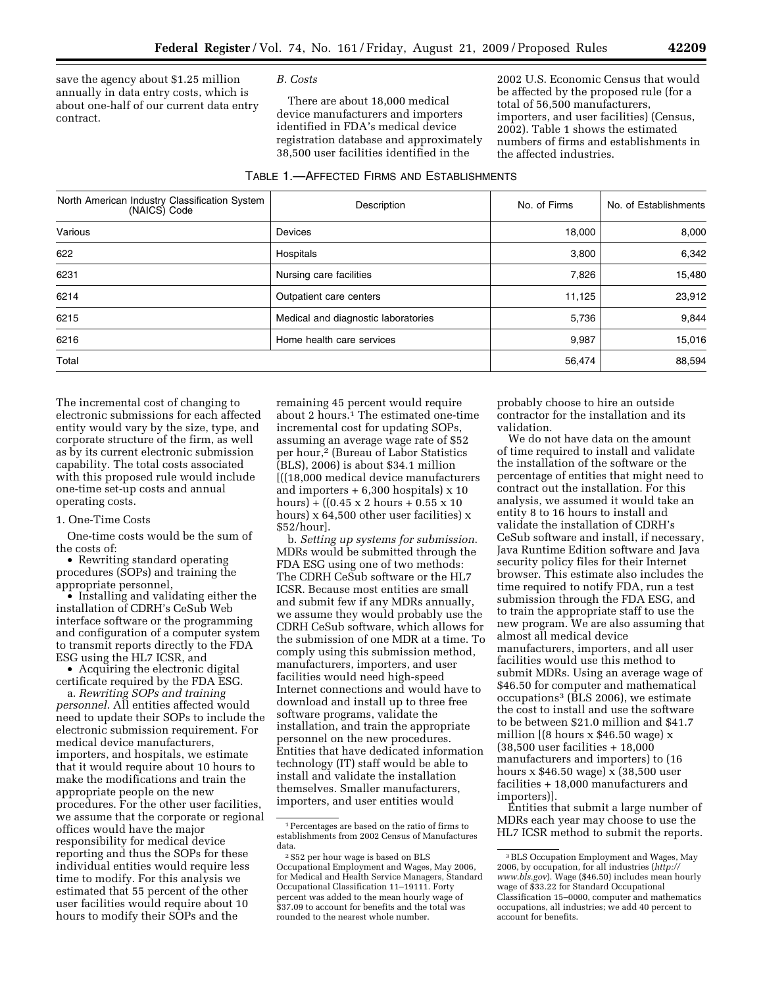save the agency about \$1.25 million annually in data entry costs, which is about one-half of our current data entry contract.

## *B. Costs*

There are about 18,000 medical device manufacturers and importers identified in FDA's medical device registration database and approximately 38,500 user facilities identified in the

2002 U.S. Economic Census that would be affected by the proposed rule (for a total of 56,500 manufacturers, importers, and user facilities) (Census, 2002). Table 1 shows the estimated numbers of firms and establishments in the affected industries.

#### TABLE 1.—AFFECTED FIRMS AND ESTABLISHMENTS

| North American Industry Classification System<br>(NAICS) Code | Description               | No. of Firms | No. of Establishments |  |
|---------------------------------------------------------------|---------------------------|--------------|-----------------------|--|
| Various                                                       | Devices                   | 18,000       | 8,000                 |  |
| 622                                                           | Hospitals                 |              | 6,342                 |  |
| 6231                                                          | Nursing care facilities   | 7,826        | 15,480                |  |
| 6214<br>Outpatient care centers                               |                           | 11,125       | 23,912                |  |
| 6215<br>Medical and diagnostic laboratories                   |                           | 5,736        | 9,844                 |  |
| 6216                                                          | Home health care services | 9,987        | 15,016                |  |
| Total                                                         |                           | 56,474       | 88,594                |  |

The incremental cost of changing to electronic submissions for each affected entity would vary by the size, type, and corporate structure of the firm, as well as by its current electronic submission capability. The total costs associated with this proposed rule would include one-time set-up costs and annual operating costs.

#### 1. One-Time Costs

One-time costs would be the sum of the costs of:

• Rewriting standard operating procedures (SOPs) and training the appropriate personnel,

• Installing and validating either the installation of CDRH's CeSub Web interface software or the programming and configuration of a computer system to transmit reports directly to the FDA ESG using the HL7 ICSR, and

• Acquiring the electronic digital certificate required by the FDA ESG.

a. *Rewriting SOPs and training personnel*. All entities affected would need to update their SOPs to include the electronic submission requirement. For medical device manufacturers, importers, and hospitals, we estimate that it would require about 10 hours to make the modifications and train the appropriate people on the new procedures. For the other user facilities, we assume that the corporate or regional offices would have the major responsibility for medical device reporting and thus the SOPs for these individual entities would require less time to modify. For this analysis we estimated that 55 percent of the other user facilities would require about 10 hours to modify their SOPs and the

remaining 45 percent would require about 2 hours.<sup>1</sup> The estimated one-time incremental cost for updating SOPs, assuming an average wage rate of \$52 per hour,2 (Bureau of Labor Statistics (BLS), 2006) is about \$34.1 million [((18,000 medical device manufacturers and importers  $+ 6,300$  hospitals)  $\times 10$ hours) +  $((0.45 \times 2 \text{ hours} + 0.55 \times 10$ hours) x 64,500 other user facilities) x \$52/hour].

b. *Setting up systems for submission*. MDRs would be submitted through the FDA ESG using one of two methods: The CDRH CeSub software or the HL7 ICSR. Because most entities are small and submit few if any MDRs annually, we assume they would probably use the CDRH CeSub software, which allows for the submission of one MDR at a time. To comply using this submission method, manufacturers, importers, and user facilities would need high-speed Internet connections and would have to download and install up to three free software programs, validate the installation, and train the appropriate personnel on the new procedures. Entities that have dedicated information technology (IT) staff would be able to install and validate the installation themselves. Smaller manufacturers, importers, and user entities would

probably choose to hire an outside contractor for the installation and its validation.

We do not have data on the amount of time required to install and validate the installation of the software or the percentage of entities that might need to contract out the installation. For this analysis, we assumed it would take an entity 8 to 16 hours to install and validate the installation of CDRH's CeSub software and install, if necessary, Java Runtime Edition software and Java security policy files for their Internet browser. This estimate also includes the time required to notify FDA, run a test submission through the FDA ESG, and to train the appropriate staff to use the new program. We are also assuming that almost all medical device manufacturers, importers, and all user facilities would use this method to submit MDRs. Using an average wage of \$46.50 for computer and mathematical occupations<sup>3</sup> (BLS 2006), we estimate the cost to install and use the software to be between \$21.0 million and \$41.7 million  $(8 \text{ hours} \times \$46.50 \text{ wage})$  x (38,500 user facilities + 18,000 manufacturers and importers) to (16 hours x \$46.50 wage) x (38,500 user facilities + 18,000 manufacturers and importers)].

Entities that submit a large number of MDRs each year may choose to use the HL7 ICSR method to submit the reports.

<sup>1</sup>Percentages are based on the ratio of firms to establishments from 2002 Census of Manufactures data.

<sup>2</sup> \$52 per hour wage is based on BLS Occupational Employment and Wages, May 2006, for Medical and Health Service Managers, Standard Occupational Classification 11–19111. Forty percent was added to the mean hourly wage of \$37.09 to account for benefits and the total was rounded to the nearest whole number.

<sup>3</sup>BLS Occupation Employment and Wages, May 2006, by occupation, for all industries (*http:// www.bls.gov*). Wage (\$46.50) includes mean hourly wage of \$33.22 for Standard Occupational Classification 15–0000, computer and mathematics occupations, all industries; we add 40 percent to account for benefits.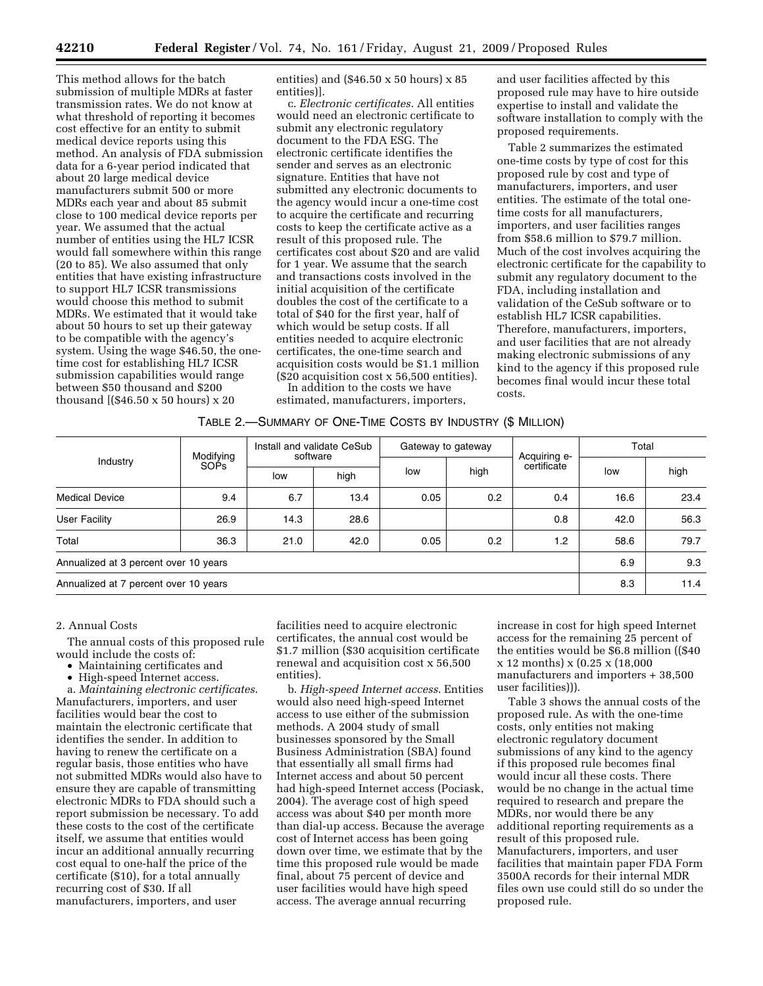This method allows for the batch submission of multiple MDRs at faster transmission rates. We do not know at what threshold of reporting it becomes cost effective for an entity to submit medical device reports using this method. An analysis of FDA submission data for a 6-year period indicated that about 20 large medical device manufacturers submit 500 or more MDRs each year and about 85 submit close to 100 medical device reports per year. We assumed that the actual number of entities using the HL7 ICSR would fall somewhere within this range (20 to 85). We also assumed that only entities that have existing infrastructure to support HL7 ICSR transmissions would choose this method to submit MDRs. We estimated that it would take about 50 hours to set up their gateway to be compatible with the agency's system. Using the wage \$46.50, the onetime cost for establishing HL7 ICSR submission capabilities would range between \$50 thousand and \$200 thousand [(\$46.50 x 50 hours) x 20

entities) and (\$46.50 x 50 hours) x 85 entities)].

c. *Electronic certificates*. All entities would need an electronic certificate to submit any electronic regulatory document to the FDA ESG. The electronic certificate identifies the sender and serves as an electronic signature. Entities that have not submitted any electronic documents to the agency would incur a one-time cost to acquire the certificate and recurring costs to keep the certificate active as a result of this proposed rule. The certificates cost about \$20 and are valid for 1 year. We assume that the search and transactions costs involved in the initial acquisition of the certificate doubles the cost of the certificate to a total of \$40 for the first year, half of which would be setup costs. If all entities needed to acquire electronic certificates, the one-time search and acquisition costs would be \$1.1 million (\$20 acquisition cost x 56,500 entities).

In addition to the costs we have estimated, manufacturers, importers,

and user facilities affected by this proposed rule may have to hire outside expertise to install and validate the software installation to comply with the proposed requirements.

Table 2 summarizes the estimated one-time costs by type of cost for this proposed rule by cost and type of manufacturers, importers, and user entities. The estimate of the total onetime costs for all manufacturers, importers, and user facilities ranges from \$58.6 million to \$79.7 million. Much of the cost involves acquiring the electronic certificate for the capability to submit any regulatory document to the FDA, including installation and validation of the CeSub software or to establish HL7 ICSR capabilities. Therefore, manufacturers, importers, and user facilities that are not already making electronic submissions of any kind to the agency if this proposed rule becomes final would incur these total costs.

|  | TABLE 2.-SUMMARY OF ONE-TIME COSTS BY INDUSTRY (\$ MILLION) |  |
|--|-------------------------------------------------------------|--|
|--|-------------------------------------------------------------|--|

|                                       | Modifying   |      | Install and validate CeSub<br>software |      | Gateway to gateway |                             | Total |      |
|---------------------------------------|-------------|------|----------------------------------------|------|--------------------|-----------------------------|-------|------|
| Industry                              | <b>SOPS</b> | low  | high                                   | low  | high               | Acquiring e-<br>certificate | low   | high |
| <b>Medical Device</b>                 | 9.4         | 6.7  | 13.4                                   | 0.05 | 0.2                | 0.4                         | 16.6  | 23.4 |
| <b>User Facility</b>                  | 26.9        | 14.3 | 28.6                                   |      |                    | 0.8                         | 42.0  | 56.3 |
| Total                                 | 36.3        | 21.0 | 42.0                                   | 0.05 | 0.2                | 1.2                         | 58.6  | 79.7 |
| Annualized at 3 percent over 10 years |             |      |                                        |      | 6.9                | 9.3                         |       |      |
| Annualized at 7 percent over 10 years |             |      |                                        |      |                    |                             | 8.3   | 11.4 |

## 2. Annual Costs

The annual costs of this proposed rule would include the costs of:

- Maintaining certificates and
- High-speed Internet access.

a. *Maintaining electronic certificates*. Manufacturers, importers, and user facilities would bear the cost to maintain the electronic certificate that identifies the sender. In addition to having to renew the certificate on a regular basis, those entities who have not submitted MDRs would also have to ensure they are capable of transmitting electronic MDRs to FDA should such a report submission be necessary. To add these costs to the cost of the certificate itself, we assume that entities would incur an additional annually recurring cost equal to one-half the price of the certificate (\$10), for a total annually recurring cost of \$30. If all manufacturers, importers, and user

facilities need to acquire electronic certificates, the annual cost would be \$1.7 million (\$30 acquisition certificate renewal and acquisition cost x 56,500 entities).

b. *High-speed Internet access*. Entities would also need high-speed Internet access to use either of the submission methods. A 2004 study of small businesses sponsored by the Small Business Administration (SBA) found that essentially all small firms had Internet access and about 50 percent had high-speed Internet access (Pociask, 2004). The average cost of high speed access was about \$40 per month more than dial-up access. Because the average cost of Internet access has been going down over time, we estimate that by the time this proposed rule would be made final, about 75 percent of device and user facilities would have high speed access. The average annual recurring

increase in cost for high speed Internet access for the remaining 25 percent of the entities would be \$6.8 million ((\$40 x 12 months) x (0.25 x (18,000 manufacturers and importers + 38,500 user facilities))).

Table 3 shows the annual costs of the proposed rule. As with the one-time costs, only entities not making electronic regulatory document submissions of any kind to the agency if this proposed rule becomes final would incur all these costs. There would be no change in the actual time required to research and prepare the MDRs, nor would there be any additional reporting requirements as a result of this proposed rule. Manufacturers, importers, and user facilities that maintain paper FDA Form 3500A records for their internal MDR files own use could still do so under the proposed rule.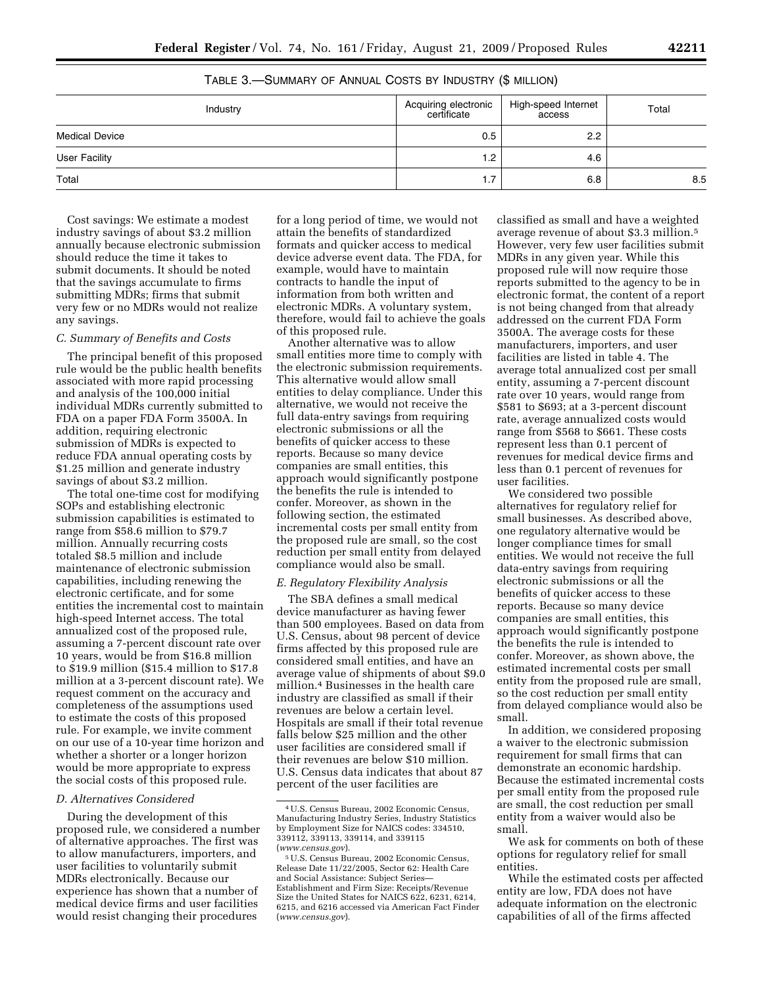| Industry              | Acquiring electronic<br>  certificate | High-speed Internet<br>access | Total |
|-----------------------|---------------------------------------|-------------------------------|-------|
| <b>Medical Device</b> | 0.5                                   | $2.2^{\circ}$                 |       |
| <b>User Facility</b>  | $1.2^{\circ}$                         | 4.6                           |       |
| Total                 | 1.7                                   | 6.8                           | 8.5   |

TABLE 3.—SUMMARY OF ANNUAL COSTS BY INDUSTRY (\$ MILLION)

Cost savings: We estimate a modest industry savings of about \$3.2 million annually because electronic submission should reduce the time it takes to submit documents. It should be noted that the savings accumulate to firms submitting MDRs; firms that submit very few or no MDRs would not realize any savings.

### *C. Summary of Benefits and Costs*

The principal benefit of this proposed rule would be the public health benefits associated with more rapid processing and analysis of the 100,000 initial individual MDRs currently submitted to FDA on a paper FDA Form 3500A. In addition, requiring electronic submission of MDRs is expected to reduce FDA annual operating costs by \$1.25 million and generate industry savings of about \$3.2 million.

The total one-time cost for modifying SOPs and establishing electronic submission capabilities is estimated to range from \$58.6 million to \$79.7 million. Annually recurring costs totaled \$8.5 million and include maintenance of electronic submission capabilities, including renewing the electronic certificate, and for some entities the incremental cost to maintain high-speed Internet access. The total annualized cost of the proposed rule, assuming a 7-percent discount rate over 10 years, would be from \$16.8 million to \$19.9 million (\$15.4 million to \$17.8 million at a 3-percent discount rate). We request comment on the accuracy and completeness of the assumptions used to estimate the costs of this proposed rule. For example, we invite comment on our use of a 10-year time horizon and whether a shorter or a longer horizon would be more appropriate to express the social costs of this proposed rule.

## *D. Alternatives Considered*

During the development of this proposed rule, we considered a number of alternative approaches. The first was to allow manufacturers, importers, and user facilities to voluntarily submit MDRs electronically. Because our experience has shown that a number of medical device firms and user facilities would resist changing their procedures

for a long period of time, we would not attain the benefits of standardized formats and quicker access to medical device adverse event data. The FDA, for example, would have to maintain contracts to handle the input of information from both written and electronic MDRs. A voluntary system, therefore, would fail to achieve the goals of this proposed rule.

Another alternative was to allow small entities more time to comply with the electronic submission requirements. This alternative would allow small entities to delay compliance. Under this alternative, we would not receive the full data-entry savings from requiring electronic submissions or all the benefits of quicker access to these reports. Because so many device companies are small entities, this approach would significantly postpone the benefits the rule is intended to confer. Moreover, as shown in the following section, the estimated incremental costs per small entity from the proposed rule are small, so the cost reduction per small entity from delayed compliance would also be small.

## *E. Regulatory Flexibility Analysis*

The SBA defines a small medical device manufacturer as having fewer than 500 employees. Based on data from U.S. Census, about 98 percent of device firms affected by this proposed rule are considered small entities, and have an average value of shipments of about \$9.0 million.4 Businesses in the health care industry are classified as small if their revenues are below a certain level. Hospitals are small if their total revenue falls below \$25 million and the other user facilities are considered small if their revenues are below \$10 million. U.S. Census data indicates that about 87 percent of the user facilities are

classified as small and have a weighted average revenue of about \$3.3 million.5 However, very few user facilities submit MDRs in any given year. While this proposed rule will now require those reports submitted to the agency to be in electronic format, the content of a report is not being changed from that already addressed on the current FDA Form 3500A. The average costs for these manufacturers, importers, and user facilities are listed in table 4. The average total annualized cost per small entity, assuming a 7-percent discount rate over 10 years, would range from \$581 to \$693; at a 3-percent discount rate, average annualized costs would range from \$568 to \$661. These costs represent less than 0.1 percent of revenues for medical device firms and less than 0.1 percent of revenues for user facilities.

We considered two possible alternatives for regulatory relief for small businesses. As described above, one regulatory alternative would be longer compliance times for small entities. We would not receive the full data-entry savings from requiring electronic submissions or all the benefits of quicker access to these reports. Because so many device companies are small entities, this approach would significantly postpone the benefits the rule is intended to confer. Moreover, as shown above, the estimated incremental costs per small entity from the proposed rule are small, so the cost reduction per small entity from delayed compliance would also be small.

In addition, we considered proposing a waiver to the electronic submission requirement for small firms that can demonstrate an economic hardship. Because the estimated incremental costs per small entity from the proposed rule are small, the cost reduction per small entity from a waiver would also be small.

We ask for comments on both of these options for regulatory relief for small entities.

While the estimated costs per affected entity are low, FDA does not have adequate information on the electronic capabilities of all of the firms affected

<sup>4</sup>U.S. Census Bureau, 2002 Economic Census, Manufacturing Industry Series, Industry Statistics by Employment Size for NAICS codes: 334510, 339112, 339113, 339114, and 339115<br>(www.census.gov).

<sup>&</sup>lt;sup>5</sup> U.S. Census Bureau, 2002 Economic Census, Release Date 11/22/2005, Sector 62: Health Care and Social Assistance: Subject Series— Establishment and Firm Size: Receipts/Revenue Size the United States for NAICS 622, 6231, 6214, 6215, and 6216 accessed via American Fact Finder (*www.census.gov*).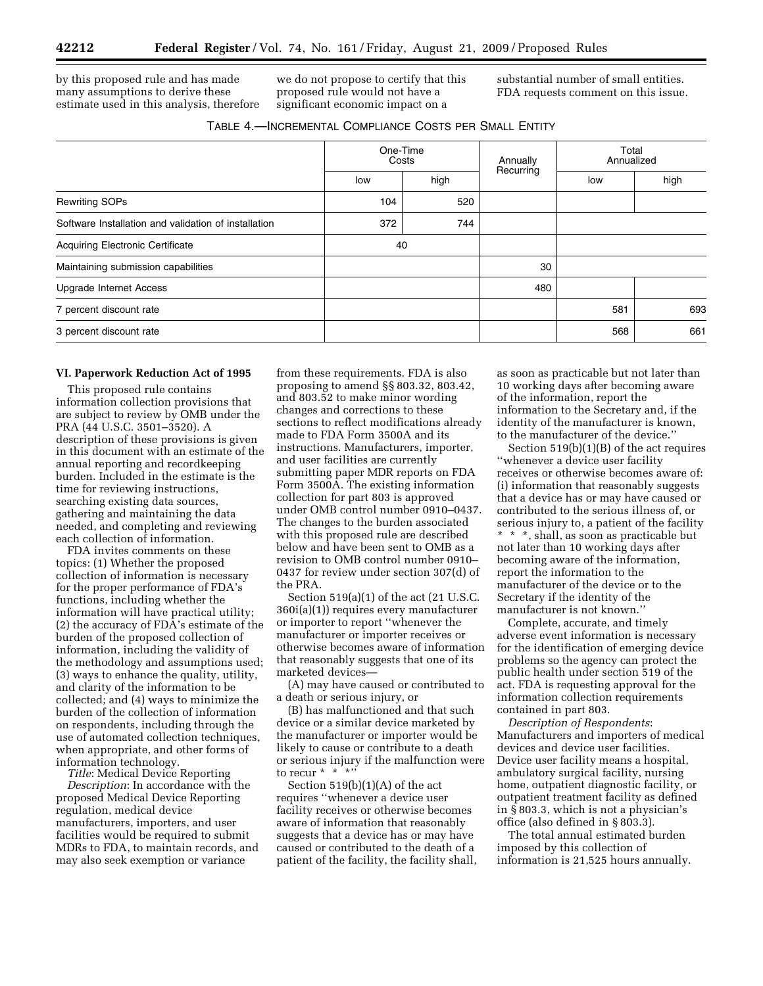by this proposed rule and has made many assumptions to derive these estimate used in this analysis, therefore we do not propose to certify that this proposed rule would not have a significant economic impact on a

substantial number of small entities. FDA requests comment on this issue.

| TABLE 4.-INCREMENTAL COMPLIANCE COSTS PER SMALL ENTITY |  |  |
|--------------------------------------------------------|--|--|
|--------------------------------------------------------|--|--|

|                                                      | One-Time<br>Costs |      | Annually  | Total<br>Annualized |      |
|------------------------------------------------------|-------------------|------|-----------|---------------------|------|
|                                                      | low               | high | Recurring | low                 | high |
| <b>Rewriting SOPs</b>                                | 104               | 520  |           |                     |      |
| Software Installation and validation of installation | 372               | 744  |           |                     |      |
| <b>Acquiring Electronic Certificate</b>              | 40                |      |           |                     |      |
| Maintaining submission capabilities                  |                   |      | 30        |                     |      |
| <b>Upgrade Internet Access</b>                       |                   |      | 480       |                     |      |
| 7 percent discount rate                              |                   |      |           | 581                 | 693  |
| 3 percent discount rate                              |                   |      |           | 568                 | 661  |

#### **VI. Paperwork Reduction Act of 1995**

This proposed rule contains information collection provisions that are subject to review by OMB under the PRA (44 U.S.C. 3501–3520). A description of these provisions is given in this document with an estimate of the annual reporting and recordkeeping burden. Included in the estimate is the time for reviewing instructions, searching existing data sources, gathering and maintaining the data needed, and completing and reviewing each collection of information.

FDA invites comments on these topics: (1) Whether the proposed collection of information is necessary for the proper performance of FDA's functions, including whether the information will have practical utility; (2) the accuracy of FDA's estimate of the burden of the proposed collection of information, including the validity of the methodology and assumptions used; (3) ways to enhance the quality, utility, and clarity of the information to be collected; and (4) ways to minimize the burden of the collection of information on respondents, including through the use of automated collection techniques, when appropriate, and other forms of information technology.

*Title*: Medical Device Reporting *Description*: In accordance with the proposed Medical Device Reporting regulation, medical device manufacturers, importers, and user facilities would be required to submit MDRs to FDA, to maintain records, and may also seek exemption or variance

from these requirements. FDA is also proposing to amend §§ 803.32, 803.42, and 803.52 to make minor wording changes and corrections to these sections to reflect modifications already made to FDA Form 3500A and its instructions. Manufacturers, importer, and user facilities are currently submitting paper MDR reports on FDA Form 3500A. The existing information collection for part 803 is approved under OMB control number 0910–0437. The changes to the burden associated with this proposed rule are described below and have been sent to OMB as a revision to OMB control number 0910– 0437 for review under section 307(d) of the PRA.

Section 519(a)(1) of the act (21 U.S.C. 360i(a)(1)) requires every manufacturer or importer to report ''whenever the manufacturer or importer receives or otherwise becomes aware of information that reasonably suggests that one of its marketed devices—

(A) may have caused or contributed to a death or serious injury, or

(B) has malfunctioned and that such device or a similar device marketed by the manufacturer or importer would be likely to cause or contribute to a death or serious injury if the malfunction were to recur  $*$   $*$   $*$   $*$ 

Section 519(b)(1)(A) of the act requires ''whenever a device user facility receives or otherwise becomes aware of information that reasonably suggests that a device has or may have caused or contributed to the death of a patient of the facility, the facility shall, as soon as practicable but not later than 10 working days after becoming aware of the information, report the information to the Secretary and, if the identity of the manufacturer is known, to the manufacturer of the device.''

Section 519(b)(1)(B) of the act requires ''whenever a device user facility receives or otherwise becomes aware of: (i) information that reasonably suggests that a device has or may have caused or contributed to the serious illness of, or serious injury to, a patient of the facility \* \* \*, shall, as soon as practicable but not later than 10 working days after becoming aware of the information, report the information to the manufacturer of the device or to the Secretary if the identity of the manufacturer is not known.''

Complete, accurate, and timely adverse event information is necessary for the identification of emerging device problems so the agency can protect the public health under section 519 of the act. FDA is requesting approval for the information collection requirements contained in part 803.

*Description of Respondents*: Manufacturers and importers of medical devices and device user facilities. Device user facility means a hospital, ambulatory surgical facility, nursing home, outpatient diagnostic facility, or outpatient treatment facility as defined in § 803.3, which is not a physician's office (also defined in § 803.3).

The total annual estimated burden imposed by this collection of information is 21,525 hours annually.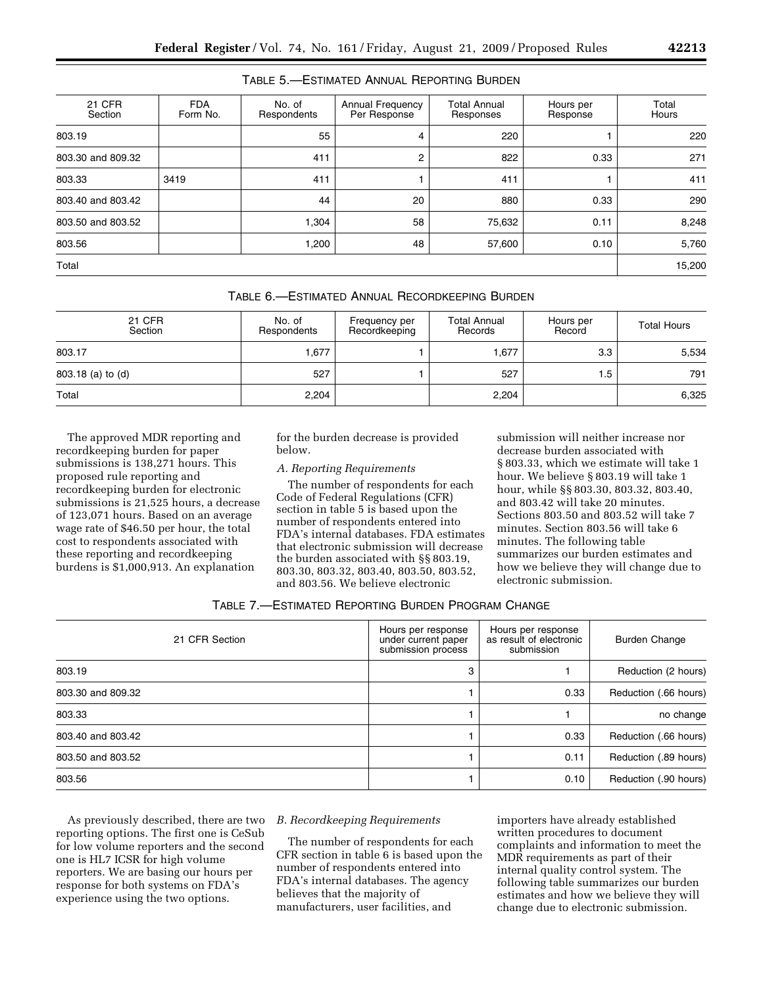## TABLE 5.—ESTIMATED ANNUAL REPORTING BURDEN

| 21 CFR<br>Section | <b>FDA</b><br>Form No. | No. of<br>Respondents | Annual Frequency<br>Per Response | <b>Total Annual</b><br>Responses | Hours per<br>Response | Total<br>Hours |
|-------------------|------------------------|-----------------------|----------------------------------|----------------------------------|-----------------------|----------------|
| 803.19            |                        | 55                    | 4                                | 220                              |                       | 220            |
| 803.30 and 809.32 |                        | 411                   | $\overline{2}$                   | 822                              | 0.33                  | 271            |
| 803.33            | 3419                   | 411                   |                                  | 411                              |                       | 411            |
| 803.40 and 803.42 |                        | 44                    | 20                               | 880                              | 0.33                  | 290            |
| 803.50 and 803.52 |                        | 1,304                 | 58                               | 75,632                           | 0.11                  | 8,248          |
| 803.56            |                        | 1,200                 | 48                               | 57,600                           | 0.10                  | 5,760          |
| Total             |                        |                       |                                  |                                  |                       | 15,200         |

|  | TABLE 6.—ESTIMATED ANNUAL RECORDKEEPING BURDEN |
|--|------------------------------------------------|
|--|------------------------------------------------|

| 21 CFR<br>Section | No. of<br>Respondents | Frequency per<br>Recordkeeping | <b>Total Annual</b><br>Records | Hours per<br>Record | <b>Total Hours</b> |
|-------------------|-----------------------|--------------------------------|--------------------------------|---------------------|--------------------|
| 803.17            | 1.677                 |                                | .677                           | 3.3                 | 5,534              |
| 803.18 (a) to (d) | 527                   |                                | 527                            | . .5                | 791                |
| Total             | 2,204                 |                                | 2,204                          |                     | 6,325              |

The approved MDR reporting and recordkeeping burden for paper submissions is 138,271 hours. This proposed rule reporting and recordkeeping burden for electronic submissions is 21,525 hours, a decrease of 123,071 hours. Based on an average wage rate of \$46.50 per hour, the total cost to respondents associated with these reporting and recordkeeping burdens is \$1,000,913. An explanation

for the burden decrease is provided below.

## *A. Reporting Requirements*

The number of respondents for each Code of Federal Regulations (CFR) section in table 5 is based upon the number of respondents entered into FDA's internal databases. FDA estimates that electronic submission will decrease the burden associated with §§ 803.19, 803.30, 803.32, 803.40, 803.50, 803.52, and 803.56. We believe electronic

submission will neither increase nor decrease burden associated with § 803.33, which we estimate will take 1 hour. We believe § 803.19 will take 1 hour, while §§ 803.30, 803.32, 803.40, and 803.42 will take 20 minutes. Sections 803.50 and 803.52 will take 7 minutes. Section 803.56 will take 6 minutes. The following table summarizes our burden estimates and how we believe they will change due to electronic submission.

| TABLE 7.—ESTIMATED REPORTING BURDEN PROGRAM CHANGE |  |  |  |
|----------------------------------------------------|--|--|--|
|----------------------------------------------------|--|--|--|

| 21 CFR Section    | Hours per response<br>under current paper<br>submission process | Hours per response<br>as result of electronic<br>submission | <b>Burden Change</b>  |
|-------------------|-----------------------------------------------------------------|-------------------------------------------------------------|-----------------------|
| 803.19            | 3                                                               |                                                             | Reduction (2 hours)   |
| 803.30 and 809.32 |                                                                 | 0.33                                                        | Reduction (.66 hours) |
| 803.33            |                                                                 |                                                             | no change             |
| 803.40 and 803.42 |                                                                 | 0.33                                                        | Reduction (.66 hours) |
| 803.50 and 803.52 |                                                                 | 0.11                                                        | Reduction (.89 hours) |
| 803.56            |                                                                 | 0.10                                                        | Reduction (.90 hours) |

As previously described, there are two reporting options. The first one is CeSub for low volume reporters and the second one is HL7 ICSR for high volume reporters. We are basing our hours per response for both systems on FDA's experience using the two options.

# *B. Recordkeeping Requirements*

The number of respondents for each CFR section in table 6 is based upon the number of respondents entered into FDA's internal databases. The agency believes that the majority of manufacturers, user facilities, and

importers have already established written procedures to document complaints and information to meet the MDR requirements as part of their internal quality control system. The following table summarizes our burden estimates and how we believe they will change due to electronic submission.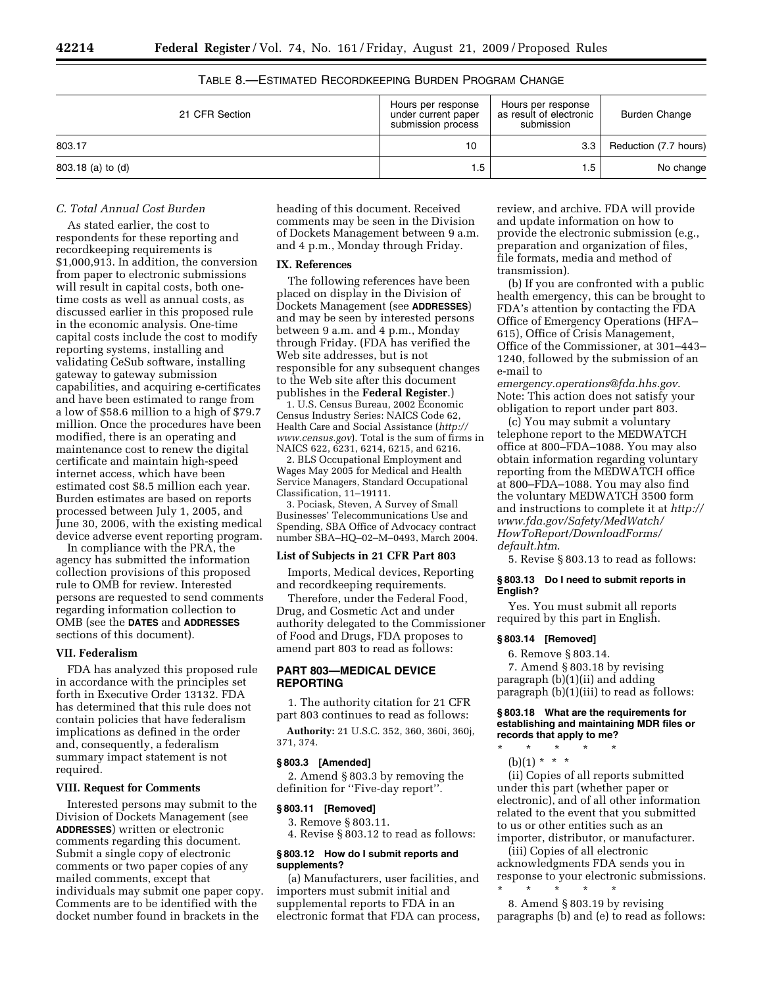| 21 CFR Section    | Hours per response<br>under current paper<br>submission process | Hours per response<br>as result of electronic<br>submission | <b>Burden Change</b>  |
|-------------------|-----------------------------------------------------------------|-------------------------------------------------------------|-----------------------|
| 803.17            | 10                                                              | 3.3 <sub>1</sub>                                            | Reduction (7.7 hours) |
| 803.18 (a) to (d) | 1.5                                                             | .5                                                          | No change             |

# TABLE 8.—ESTIMATED RECORDKEEPING BURDEN PROGRAM CHANGE

# *C. Total Annual Cost Burden*

As stated earlier, the cost to respondents for these reporting and recordkeeping requirements is \$1,000,913. In addition, the conversion from paper to electronic submissions will result in capital costs, both onetime costs as well as annual costs, as discussed earlier in this proposed rule in the economic analysis. One-time capital costs include the cost to modify reporting systems, installing and validating CeSub software, installing gateway to gateway submission capabilities, and acquiring e-certificates and have been estimated to range from a low of \$58.6 million to a high of \$79.7 million. Once the procedures have been modified, there is an operating and maintenance cost to renew the digital certificate and maintain high-speed internet access, which have been estimated cost \$8.5 million each year. Burden estimates are based on reports processed between July 1, 2005, and June 30, 2006, with the existing medical device adverse event reporting program.

In compliance with the PRA, the agency has submitted the information collection provisions of this proposed rule to OMB for review. Interested persons are requested to send comments regarding information collection to OMB (see the **DATES** and **ADDRESSES** sections of this document).

#### **VII. Federalism**

FDA has analyzed this proposed rule in accordance with the principles set forth in Executive Order 13132. FDA has determined that this rule does not contain policies that have federalism implications as defined in the order and, consequently, a federalism summary impact statement is not required.

## **VIII. Request for Comments**

Interested persons may submit to the Division of Dockets Management (see **ADDRESSES**) written or electronic comments regarding this document. Submit a single copy of electronic comments or two paper copies of any mailed comments, except that individuals may submit one paper copy. Comments are to be identified with the docket number found in brackets in the

heading of this document. Received comments may be seen in the Division of Dockets Management between 9 a.m. and 4 p.m., Monday through Friday.

## **IX. References**

The following references have been placed on display in the Division of Dockets Management (see **ADDRESSES**) and may be seen by interested persons between 9 a.m. and 4 p.m., Monday through Friday. (FDA has verified the Web site addresses, but is not responsible for any subsequent changes to the Web site after this document publishes in the **Federal Register**.)

1. U.S. Census Bureau, 2002 Economic Census Industry Series: NAICS Code 62, Health Care and Social Assistance (*http:// www.census.gov*). Total is the sum of firms in NAICS 622, 6231, 6214, 6215, and 6216.

2. BLS Occupational Employment and Wages May 2005 for Medical and Health Service Managers, Standard Occupational Classification, 11–19111.

3. Pociask, Steven, A Survey of Small Businesses' Telecommunications Use and Spending, SBA Office of Advocacy contract number SBA–HQ–02–M–0493, March 2004.

#### **List of Subjects in 21 CFR Part 803**

Imports, Medical devices, Reporting and recordkeeping requirements.

Therefore, under the Federal Food, Drug, and Cosmetic Act and under authority delegated to the Commissioner of Food and Drugs, FDA proposes to amend part 803 to read as follows:

## **PART 803—MEDICAL DEVICE REPORTING**

1. The authority citation for 21 CFR part 803 continues to read as follows:

**Authority:** 21 U.S.C. 352, 360, 360i, 360j, 371, 374.

#### **§ 803.3 [Amended]**

2. Amend § 803.3 by removing the definition for ''Five-day report''.

#### **§ 803.11 [Removed]**

3. Remove § 803.11.

4. Revise § 803.12 to read as follows:

## **§ 803.12 How do I submit reports and supplements?**

(a) Manufacturers, user facilities, and importers must submit initial and supplemental reports to FDA in an electronic format that FDA can process, review, and archive. FDA will provide and update information on how to provide the electronic submission (e.g., preparation and organization of files, file formats, media and method of transmission).

(b) If you are confronted with a public health emergency, this can be brought to FDA's attention by contacting the FDA Office of Emergency Operations (HFA– 615), Office of Crisis Management, Office of the Commissioner, at 301–443– 1240, followed by the submission of an e-mail to

*emergency.operations@fda.hhs.gov*. Note: This action does not satisfy your obligation to report under part 803.

(c) You may submit a voluntary telephone report to the MEDWATCH office at 800–FDA–1088. You may also obtain information regarding voluntary reporting from the MEDWATCH office at 800–FDA–1088. You may also find the voluntary MEDWATCH 3500 form and instructions to complete it at *http:// www.fda.gov/Safety/MedWatch/ HowToReport/DownloadForms/ default.htm*.

5. Revise § 803.13 to read as follows:

### **§ 803.13 Do I need to submit reports in English?**

Yes. You must submit all reports required by this part in English.

## **§ 803.14 [Removed]**

6. Remove § 803.14. 7. Amend § 803.18 by revising paragraph (b)(1)(ii) and adding paragraph (b)(1)(iii) to read as follows:

## **§ 803.18 What are the requirements for establishing and maintaining MDR files or records that apply to me?**

- \* \* \* \* \*
	- $(b)(1) * * * *$

(ii) Copies of all reports submitted under this part (whether paper or electronic), and of all other information related to the event that you submitted to us or other entities such as an importer, distributor, or manufacturer.

(iii) Copies of all electronic acknowledgments FDA sends you in response to your electronic submissions.

\* \* \* \* \* 8. Amend § 803.19 by revising paragraphs (b) and (e) to read as follows: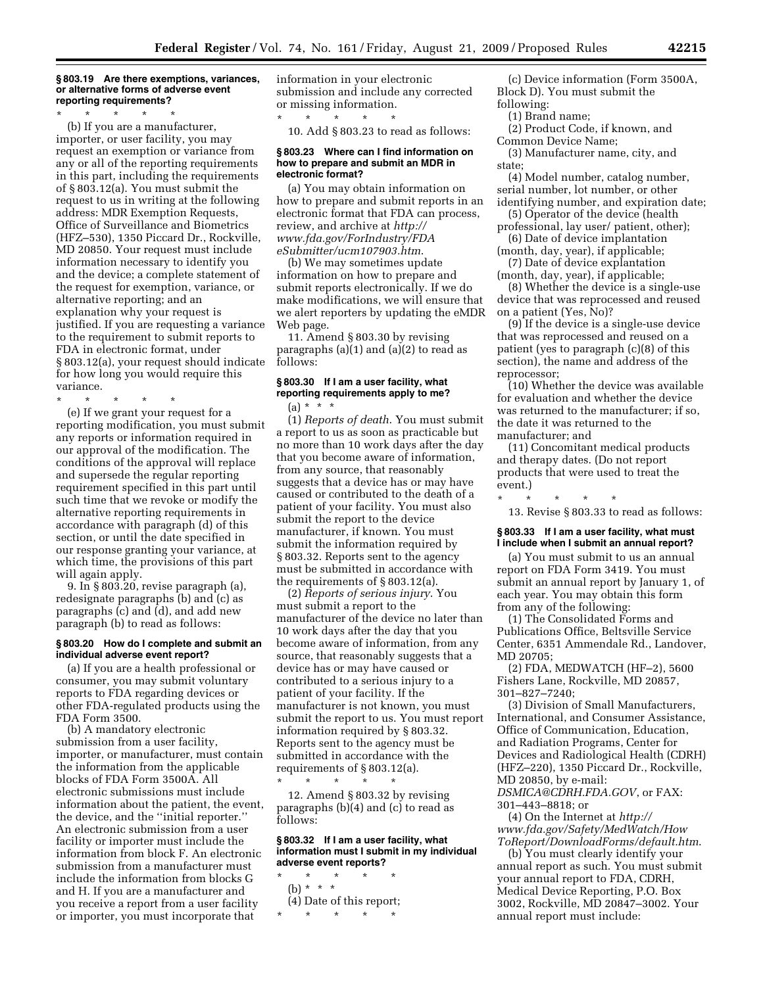#### **§ 803.19 Are there exemptions, variances, or alternative forms of adverse event reporting requirements?**

\* \* \* \* \*

(b) If you are a manufacturer, importer, or user facility, you may request an exemption or variance from any or all of the reporting requirements in this part, including the requirements of § 803.12(a). You must submit the request to us in writing at the following address: MDR Exemption Requests, Office of Surveillance and Biometrics (HFZ–530), 1350 Piccard Dr., Rockville, MD 20850. Your request must include information necessary to identify you and the device; a complete statement of the request for exemption, variance, or alternative reporting; and an explanation why your request is justified. If you are requesting a variance to the requirement to submit reports to FDA in electronic format, under § 803.12(a), your request should indicate for how long you would require this variance.

\* \* \* \* \*

(e) If we grant your request for a reporting modification, you must submit any reports or information required in our approval of the modification. The conditions of the approval will replace and supersede the regular reporting requirement specified in this part until such time that we revoke or modify the alternative reporting requirements in accordance with paragraph (d) of this section, or until the date specified in our response granting your variance, at which time, the provisions of this part will again apply.

9. In § 803.20, revise paragraph (a), redesignate paragraphs (b) and (c) as paragraphs (c) and (d), and add new paragraph (b) to read as follows:

## **§ 803.20 How do I complete and submit an individual adverse event report?**

(a) If you are a health professional or consumer, you may submit voluntary reports to FDA regarding devices or other FDA-regulated products using the FDA Form 3500.

(b) A mandatory electronic submission from a user facility, importer, or manufacturer, must contain the information from the applicable blocks of FDA Form 3500A. All electronic submissions must include information about the patient, the event, the device, and the ''initial reporter.'' An electronic submission from a user facility or importer must include the information from block F. An electronic submission from a manufacturer must include the information from blocks G and H. If you are a manufacturer and you receive a report from a user facility or importer, you must incorporate that

information in your electronic submission and include any corrected or missing information.

\* \* \* \* \* 10. Add § 803.23 to read as follows:

#### **§ 803.23 Where can I find information on how to prepare and submit an MDR in electronic format?**

(a) You may obtain information on how to prepare and submit reports in an electronic format that FDA can process, review, and archive at *http:// www.fda.gov/ForIndustry/FDA eSubmitter/ucm107903.htm*.

(b) We may sometimes update information on how to prepare and submit reports electronically. If we do make modifications, we will ensure that we alert reporters by updating the eMDR Web page.

11. Amend § 803.30 by revising paragraphs (a)(1) and (a)(2) to read as follows:

## **§ 803.30 If I am a user facility, what reporting requirements apply to me?**   $(a) * * * *$

(1) *Reports of death*. You must submit a report to us as soon as practicable but no more than 10 work days after the day that you become aware of information, from any source, that reasonably suggests that a device has or may have caused or contributed to the death of a patient of your facility. You must also submit the report to the device manufacturer, if known. You must submit the information required by § 803.32. Reports sent to the agency must be submitted in accordance with the requirements of § 803.12(a).

(2) *Reports of serious injury*. You must submit a report to the manufacturer of the device no later than 10 work days after the day that you become aware of information, from any source, that reasonably suggests that a device has or may have caused or contributed to a serious injury to a patient of your facility. If the manufacturer is not known, you must submit the report to us. You must report information required by § 803.32. Reports sent to the agency must be submitted in accordance with the requirements of § 803.12(a). \* \* \* \* \*

12. Amend § 803.32 by revising paragraphs (b)(4) and (c) to read as follows:

**§ 803.32 If I am a user facility, what information must I submit in my individual adverse event reports?** 

\* \* \* \* \* (b) \* \* \* (4) Date of this report; \* \* \* \* \*

(c) Device information (Form 3500A, Block D). You must submit the following:

- (1) Brand name;
- (2) Product Code, if known, and Common Device Name;

(3) Manufacturer name, city, and state;

(4) Model number, catalog number, serial number, lot number, or other identifying number, and expiration date;

- (5) Operator of the device (health professional, lay user/ patient, other);
- (6) Date of device implantation
- (month, day, year), if applicable; (7) Date of device explantation
- (month, day, year), if applicable; (8) Whether the device is a single-use
- device that was reprocessed and reused on a patient (Yes, No)?

(9) If the device is a single-use device that was reprocessed and reused on a patient (yes to paragraph (c)(8) of this section), the name and address of the reprocessor;

(10) Whether the device was available for evaluation and whether the device was returned to the manufacturer; if so, the date it was returned to the manufacturer; and

(11) Concomitant medical products and therapy dates. (Do not report products that were used to treat the event.)

\* \* \* \* \* 13. Revise § 803.33 to read as follows:

# **§ 803.33 If I am a user facility, what must I include when I submit an annual report?**

(a) You must submit to us an annual report on FDA Form 3419. You must submit an annual report by January 1, of each year. You may obtain this form from any of the following:

(1) The Consolidated Forms and Publications Office, Beltsville Service Center, 6351 Ammendale Rd., Landover, MD 20705;

(2) FDA, MEDWATCH (HF–2), 5600 Fishers Lane, Rockville, MD 20857, 301–827–7240;

(3) Division of Small Manufacturers, International, and Consumer Assistance, Office of Communication, Education, and Radiation Programs, Center for Devices and Radiological Health (CDRH) (HFZ–220), 1350 Piccard Dr., Rockville, MD 20850, by e-mail:

*DSMICA@CDRH.FDA.GOV*, or FAX: 301–443–8818; or

(4) On the Internet at *http:// www.fda.gov/Safety/MedWatch/How ToReport/DownloadForms/default.htm*.

(b) You must clearly identify your annual report as such. You must submit your annual report to FDA, CDRH, Medical Device Reporting, P.O. Box 3002, Rockville, MD 20847–3002. Your annual report must include: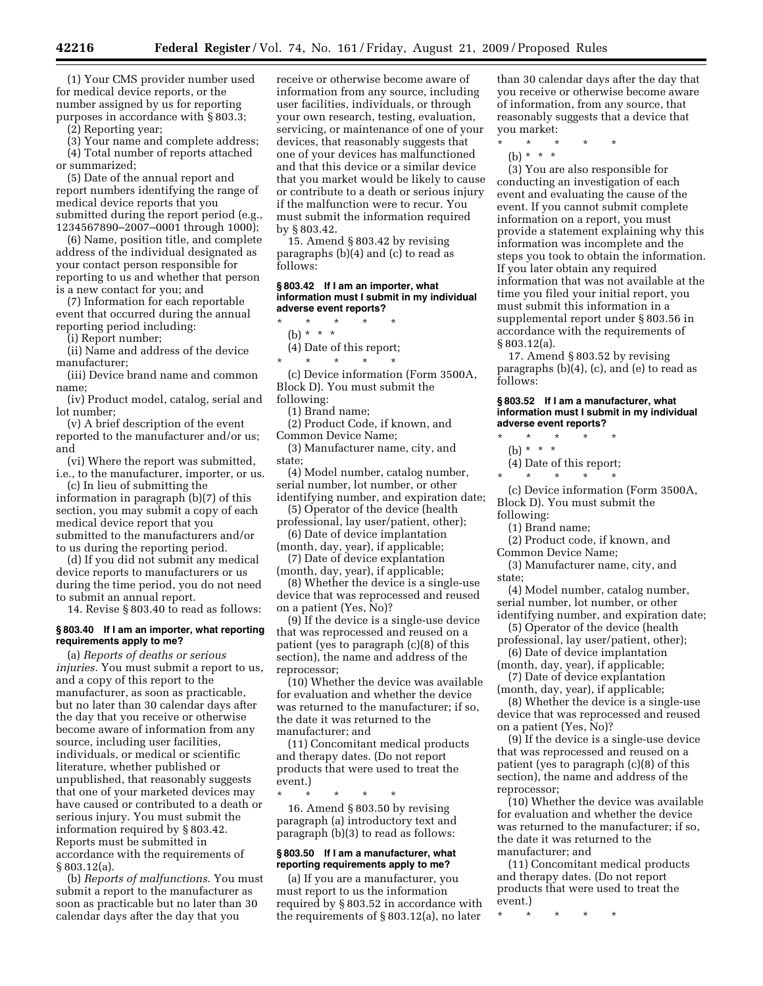(1) Your CMS provider number used for medical device reports, or the number assigned by us for reporting purposes in accordance with § 803.3;

(2) Reporting year;

(3) Your name and complete address; (4) Total number of reports attached or summarized;

(5) Date of the annual report and report numbers identifying the range of medical device reports that you submitted during the report period (e.g., 1234567890–2007–0001 through 1000);

(6) Name, position title, and complete address of the individual designated as your contact person responsible for reporting to us and whether that person is a new contact for you; and

(7) Information for each reportable event that occurred during the annual reporting period including:

(i) Report number;

(ii) Name and address of the device manufacturer;

(iii) Device brand name and common name;

(iv) Product model, catalog, serial and lot number;

(v) A brief description of the event reported to the manufacturer and/or us; and

(vi) Where the report was submitted, i.e., to the manufacturer, importer, or us.

(c) In lieu of submitting the information in paragraph (b)(7) of this section, you may submit a copy of each medical device report that you submitted to the manufacturers and/or to us during the reporting period.

(d) If you did not submit any medical device reports to manufacturers or us during the time period, you do not need to submit an annual report.

14. Revise § 803.40 to read as follows:

#### **§ 803.40 If I am an importer, what reporting requirements apply to me?**

(a) *Reports of deaths or serious injuries*. You must submit a report to us, and a copy of this report to the manufacturer, as soon as practicable, but no later than 30 calendar days after the day that you receive or otherwise become aware of information from any source, including user facilities, individuals, or medical or scientific literature, whether published or unpublished, that reasonably suggests that one of your marketed devices may have caused or contributed to a death or serious injury. You must submit the information required by § 803.42. Reports must be submitted in accordance with the requirements of § 803.12(a).

(b) *Reports of malfunctions*. You must submit a report to the manufacturer as soon as practicable but no later than 30 calendar days after the day that you

receive or otherwise become aware of information from any source, including user facilities, individuals, or through your own research, testing, evaluation, servicing, or maintenance of one of your devices, that reasonably suggests that one of your devices has malfunctioned and that this device or a similar device that you market would be likely to cause or contribute to a death or serious injury if the malfunction were to recur. You must submit the information required by § 803.42.

15. Amend § 803.42 by revising paragraphs (b)(4) and (c) to read as follows:

#### **§ 803.42 If I am an importer, what information must I submit in my individual adverse event reports?**

- $\star$   $\star$   $\star$
- (b) \* \* \*

(4) Date of this report;

\* \* \* \* \* (c) Device information (Form 3500A,

Block D). You must submit the following:

(1) Brand name;

(2) Product Code, if known, and Common Device Name;

(3) Manufacturer name, city, and state;

(4) Model number, catalog number, serial number, lot number, or other

identifying number, and expiration date; (5) Operator of the device (health

professional, lay user/patient, other); (6) Date of device implantation

- (month, day, year), if applicable;
- (7) Date of device explantation (month, day, year), if applicable;

(8) Whether the device is a single-use device that was reprocessed and reused on a patient (Yes, No)?

(9) If the device is a single-use device that was reprocessed and reused on a patient (yes to paragraph (c)(8) of this section), the name and address of the reprocessor;

(10) Whether the device was available for evaluation and whether the device was returned to the manufacturer; if so, the date it was returned to the manufacturer; and

(11) Concomitant medical products and therapy dates. (Do not report products that were used to treat the event.)

\* \* \* \* \* 16. Amend § 803.50 by revising paragraph (a) introductory text and paragraph (b)(3) to read as follows:

#### **§ 803.50 If I am a manufacturer, what reporting requirements apply to me?**

(a) If you are a manufacturer, you must report to us the information required by § 803.52 in accordance with the requirements of § 803.12(a), no later

than 30 calendar days after the day that you receive or otherwise become aware of information, from any source, that reasonably suggests that a device that you market:

- \* \* \* \* \*
- (b) \* \* \*

(3) You are also responsible for conducting an investigation of each event and evaluating the cause of the event. If you cannot submit complete information on a report, you must provide a statement explaining why this information was incomplete and the steps you took to obtain the information. If you later obtain any required information that was not available at the time you filed your initial report, you must submit this information in a supplemental report under § 803.56 in accordance with the requirements of § 803.12(a).

17. Amend § 803.52 by revising paragraphs (b)(4), (c), and (e) to read as follows:

#### **§ 803.52 If I am a manufacturer, what information must I submit in my individual adverse event reports?**   $*$  \*

- (b) \* \* \*
- (4) Date of this report;
- \* \* \* \* \*

(c) Device information (Form 3500A, Block D). You must submit the following:

(1) Brand name;

(2) Product code, if known, and

Common Device Name;

(3) Manufacturer name, city, and state;

(4) Model number, catalog number, serial number, lot number, or other

- identifying number, and expiration date; (5) Operator of the device (health
- professional, lay user/patient, other); (6) Date of device implantation

(month, day, year), if applicable; (7) Date of device explantation

(month, day, year), if applicable;

(8) Whether the device is a single-use device that was reprocessed and reused on a patient (Yes, No)?

(9) If the device is a single-use device that was reprocessed and reused on a patient (yes to paragraph (c)(8) of this section), the name and address of the reprocessor;

(10) Whether the device was available for evaluation and whether the device was returned to the manufacturer; if so, the date it was returned to the manufacturer; and

(11) Concomitant medical products and therapy dates. (Do not report products that were used to treat the event.)

\* \* \* \* \*